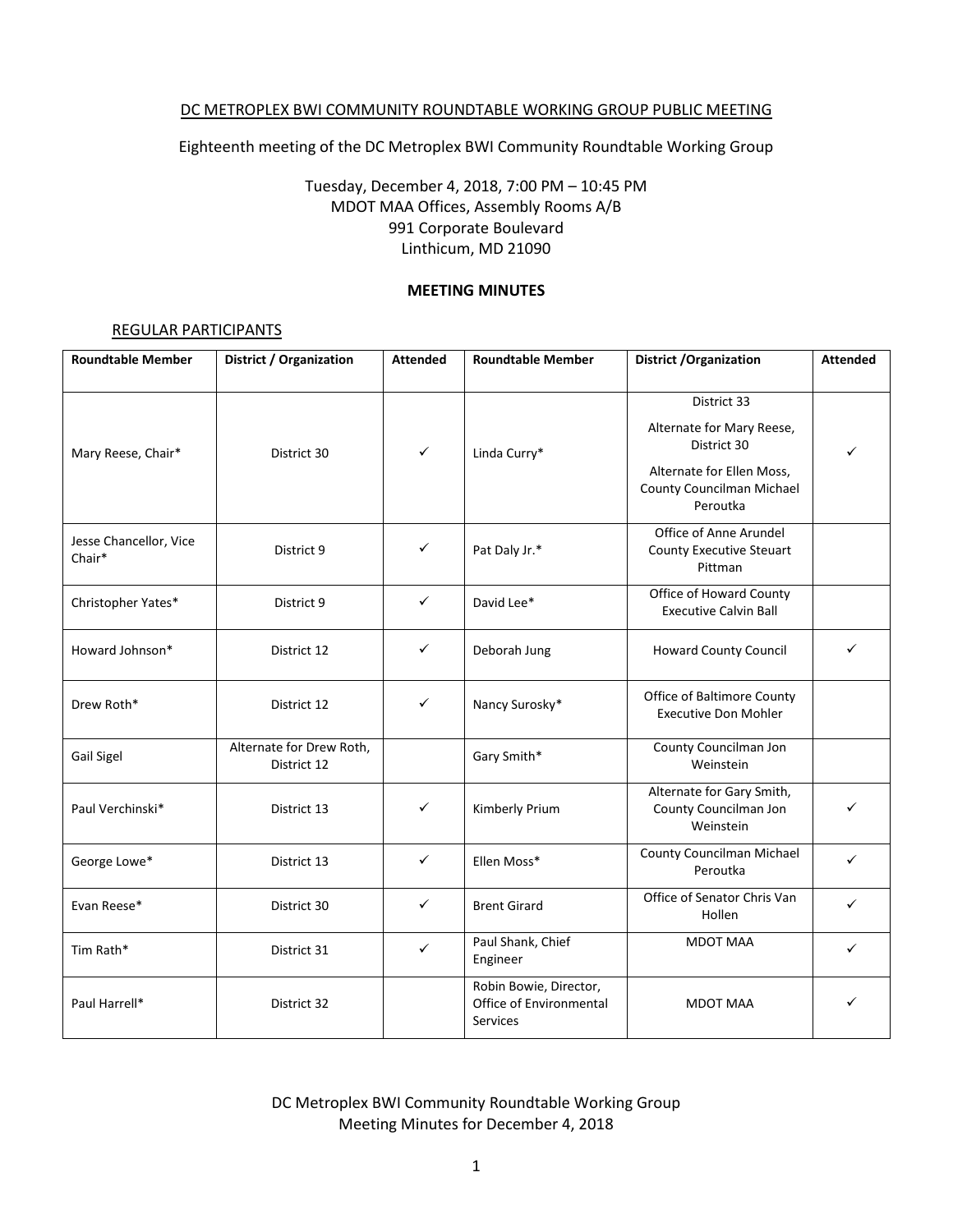#### DC METROPLEX BWI COMMUNITY ROUNDTABLE WORKING GROUP PUBLIC MEETING

Eighteenth meeting of the DC Metroplex BWI Community Roundtable Working Group

# Tuesday, December 4, 2018, 7:00 PM – 10:45 PM MDOT MAA Offices, Assembly Rooms A/B 991 Corporate Boulevard Linthicum, MD 21090

#### **MEETING MINUTES**

#### REGULAR PARTICIPANTS

| <b>Roundtable Member</b>         | District / Organization                 | <b>Attended</b> | <b>Roundtable Member</b>                                      | <b>District / Organization</b>                                                                                                | <b>Attended</b> |
|----------------------------------|-----------------------------------------|-----------------|---------------------------------------------------------------|-------------------------------------------------------------------------------------------------------------------------------|-----------------|
| Mary Reese, Chair*               | District 30                             | $\checkmark$    | Linda Curry*                                                  | District 33<br>Alternate for Mary Reese,<br>District 30<br>Alternate for Ellen Moss,<br>County Councilman Michael<br>Peroutka | ✓               |
| Jesse Chancellor, Vice<br>Chair* | District 9                              | ✓               | Pat Daly Jr.*                                                 | Office of Anne Arundel<br><b>County Executive Steuart</b><br>Pittman                                                          |                 |
| Christopher Yates*               | District 9                              | ✓               | David Lee*                                                    | Office of Howard County<br><b>Executive Calvin Ball</b>                                                                       |                 |
| Howard Johnson*                  | District 12                             | ✓               | Deborah Jung                                                  | <b>Howard County Council</b>                                                                                                  | ✓               |
| Drew Roth*                       | District 12                             | ✓               | Nancy Surosky*                                                | Office of Baltimore County<br><b>Executive Don Mohler</b>                                                                     |                 |
| Gail Sigel                       | Alternate for Drew Roth,<br>District 12 |                 | Gary Smith*                                                   | County Councilman Jon<br>Weinstein                                                                                            |                 |
| Paul Verchinski*                 | District 13                             | ✓               | Kimberly Prium                                                | Alternate for Gary Smith,<br>County Councilman Jon<br>Weinstein                                                               | ✓               |
| George Lowe*                     | District 13                             | $\checkmark$    | Ellen Moss*                                                   | County Councilman Michael<br>Peroutka                                                                                         | ✓               |
| Evan Reese*                      | District 30                             | $\checkmark$    | <b>Brent Girard</b>                                           | Office of Senator Chris Van<br>Hollen                                                                                         | ✓               |
| Tim Rath*                        | District 31                             | $\checkmark$    | Paul Shank, Chief<br>Engineer                                 | MDOT MAA                                                                                                                      | ✓               |
| Paul Harrell*                    | District 32                             |                 | Robin Bowie, Director,<br>Office of Environmental<br>Services | <b>MDOT MAA</b>                                                                                                               | ✓               |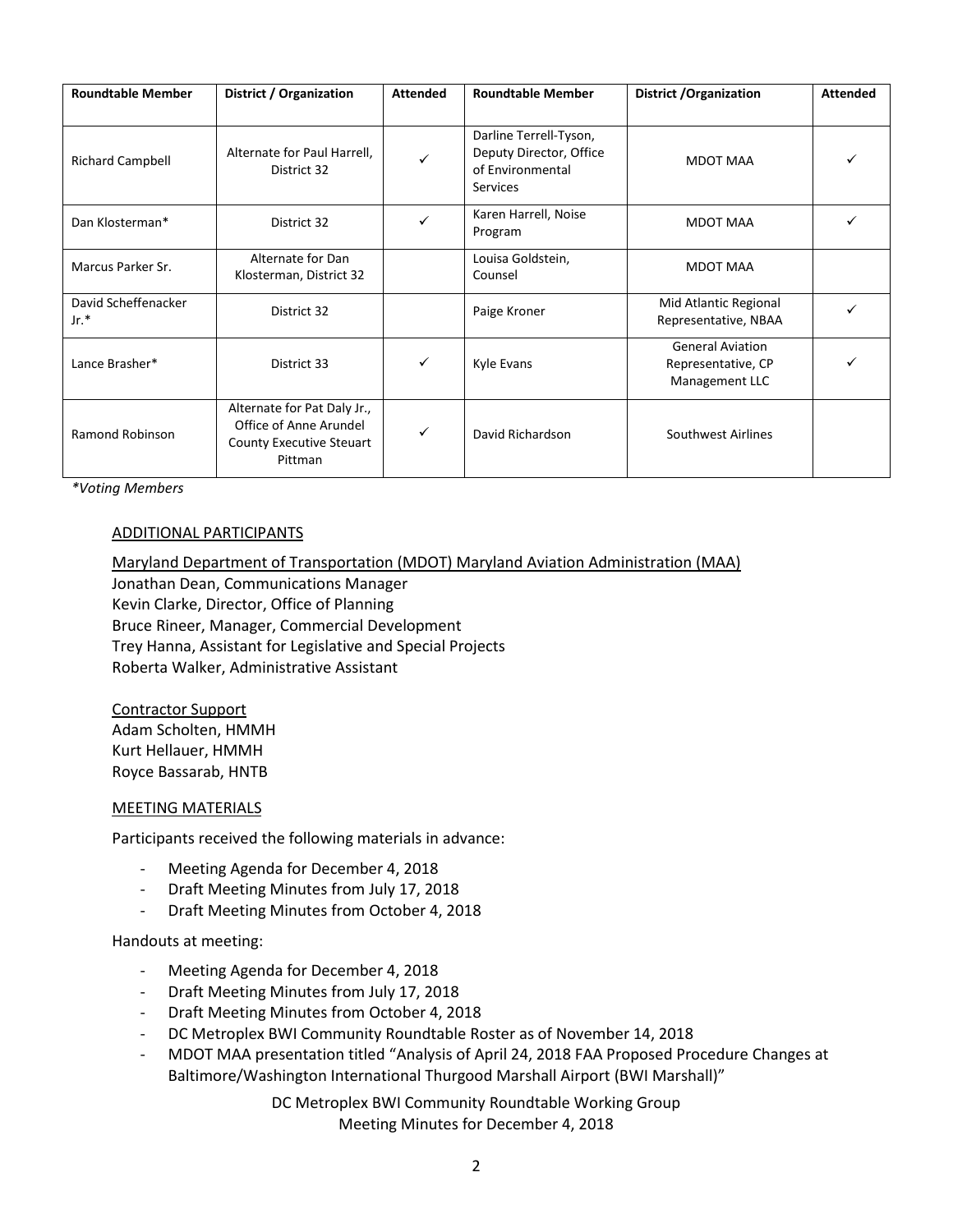| <b>Roundtable Member</b>    | District / Organization                                                                      | <b>Attended</b> | <b>Roundtable Member</b>                                                                 | District / Organization                                         | <b>Attended</b> |
|-----------------------------|----------------------------------------------------------------------------------------------|-----------------|------------------------------------------------------------------------------------------|-----------------------------------------------------------------|-----------------|
| <b>Richard Campbell</b>     | Alternate for Paul Harrell,<br>District 32                                                   | ✓               | Darline Terrell-Tyson,<br>Deputy Director, Office<br>of Environmental<br><b>Services</b> | MDOT MAA                                                        |                 |
| Dan Klosterman*             | District 32                                                                                  | ✓               | Karen Harrell, Noise<br>Program                                                          | MDOT MAA                                                        |                 |
| Marcus Parker Sr.           | Alternate for Dan<br>Klosterman, District 32                                                 |                 | Louisa Goldstein,<br>Counsel                                                             | <b>MDOT MAA</b>                                                 |                 |
| David Scheffenacker<br>Jr.* | District 32                                                                                  |                 | Paige Kroner                                                                             | Mid Atlantic Regional<br>Representative, NBAA                   |                 |
| Lance Brasher*              | District 33                                                                                  | ✓               | Kyle Evans                                                                               | <b>General Aviation</b><br>Representative, CP<br>Management LLC |                 |
| Ramond Robinson             | Alternate for Pat Daly Jr.,<br>Office of Anne Arundel<br>County Executive Steuart<br>Pittman | $\checkmark$    | David Richardson                                                                         | Southwest Airlines                                              |                 |

*\*Voting Members*

### ADDITIONAL PARTICIPANTS

Maryland Department of Transportation (MDOT) Maryland Aviation Administration (MAA) Jonathan Dean, Communications Manager Kevin Clarke, Director, Office of Planning Bruce Rineer, Manager, Commercial Development Trey Hanna, Assistant for Legislative and Special Projects Roberta Walker, Administrative Assistant

Contractor Support Adam Scholten, HMMH Kurt Hellauer, HMMH Royce Bassarab, HNTB

#### MEETING MATERIALS

Participants received the following materials in advance:

- Meeting Agenda for December 4, 2018
- Draft Meeting Minutes from July 17, 2018
- Draft Meeting Minutes from October 4, 2018

#### Handouts at meeting:

- Meeting Agenda for December 4, 2018
- Draft Meeting Minutes from July 17, 2018
- Draft Meeting Minutes from October 4, 2018
- DC Metroplex BWI Community Roundtable Roster as of November 14, 2018
- MDOT MAA presentation titled "Analysis of April 24, 2018 FAA Proposed Procedure Changes at Baltimore/Washington International Thurgood Marshall Airport (BWI Marshall)"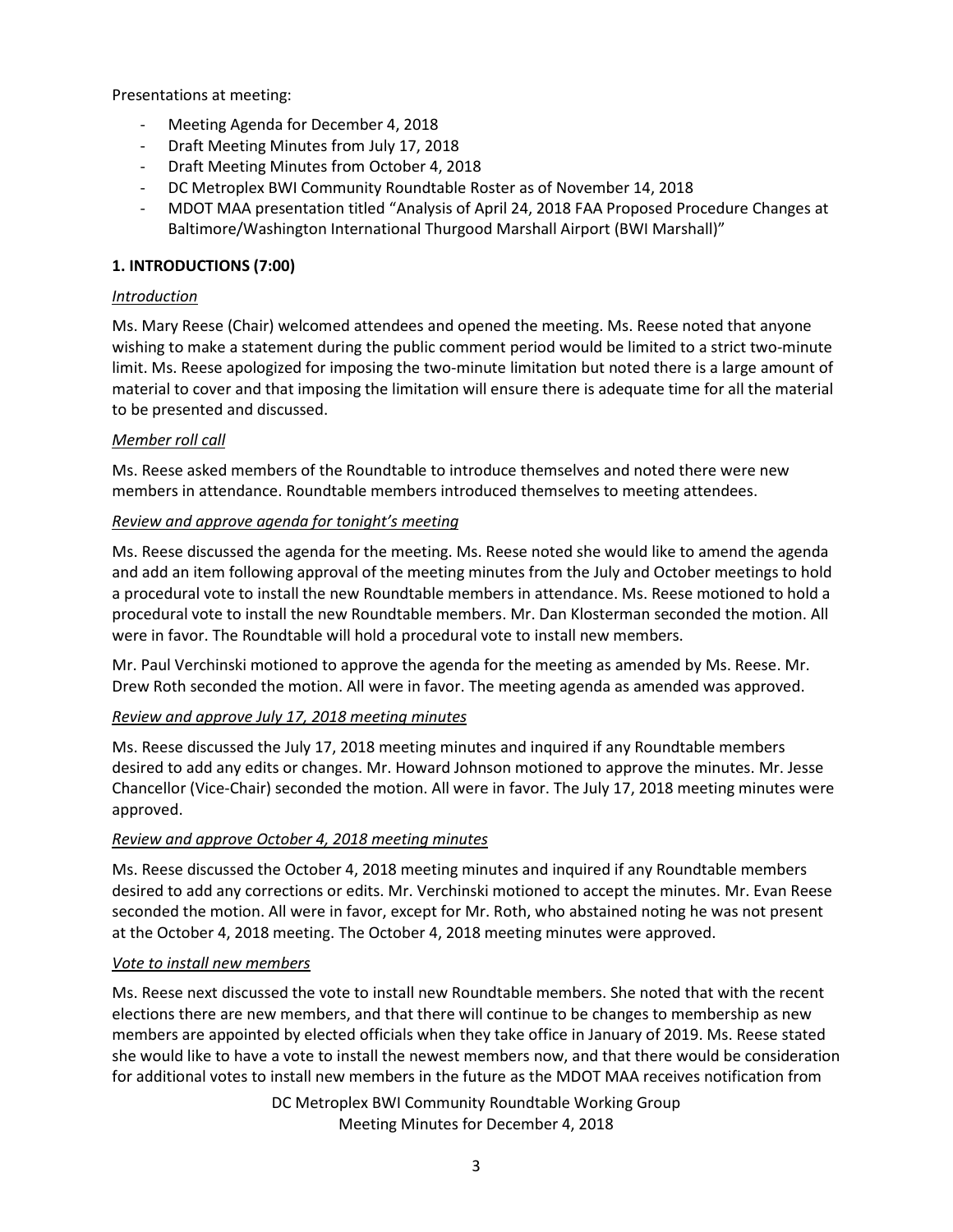Presentations at meeting:

- Meeting Agenda for December 4, 2018
- Draft Meeting Minutes from July 17, 2018
- Draft Meeting Minutes from October 4, 2018
- DC Metroplex BWI Community Roundtable Roster as of November 14, 2018
- MDOT MAA presentation titled "Analysis of April 24, 2018 FAA Proposed Procedure Changes at Baltimore/Washington International Thurgood Marshall Airport (BWI Marshall)"

# **1. INTRODUCTIONS (7:00)**

## *Introduction*

Ms. Mary Reese (Chair) welcomed attendees and opened the meeting. Ms. Reese noted that anyone wishing to make a statement during the public comment period would be limited to a strict two-minute limit. Ms. Reese apologized for imposing the two-minute limitation but noted there is a large amount of material to cover and that imposing the limitation will ensure there is adequate time for all the material to be presented and discussed.

## *Member roll call*

Ms. Reese asked members of the Roundtable to introduce themselves and noted there were new members in attendance. Roundtable members introduced themselves to meeting attendees.

## *Review and approve agenda for tonight's meeting*

Ms. Reese discussed the agenda for the meeting. Ms. Reese noted she would like to amend the agenda and add an item following approval of the meeting minutes from the July and October meetings to hold a procedural vote to install the new Roundtable members in attendance. Ms. Reese motioned to hold a procedural vote to install the new Roundtable members. Mr. Dan Klosterman seconded the motion. All were in favor. The Roundtable will hold a procedural vote to install new members.

Mr. Paul Verchinski motioned to approve the agenda for the meeting as amended by Ms. Reese. Mr. Drew Roth seconded the motion. All were in favor. The meeting agenda as amended was approved.

### *Review and approve July 17, 2018 meeting minutes*

Ms. Reese discussed the July 17, 2018 meeting minutes and inquired if any Roundtable members desired to add any edits or changes. Mr. Howard Johnson motioned to approve the minutes. Mr. Jesse Chancellor (Vice-Chair) seconded the motion. All were in favor. The July 17, 2018 meeting minutes were approved.

### *Review and approve October 4, 2018 meeting minutes*

Ms. Reese discussed the October 4, 2018 meeting minutes and inquired if any Roundtable members desired to add any corrections or edits. Mr. Verchinski motioned to accept the minutes. Mr. Evan Reese seconded the motion. All were in favor, except for Mr. Roth, who abstained noting he was not present at the October 4, 2018 meeting. The October 4, 2018 meeting minutes were approved.

### *Vote to install new members*

Ms. Reese next discussed the vote to install new Roundtable members. She noted that with the recent elections there are new members, and that there will continue to be changes to membership as new members are appointed by elected officials when they take office in January of 2019. Ms. Reese stated she would like to have a vote to install the newest members now, and that there would be consideration for additional votes to install new members in the future as the MDOT MAA receives notification from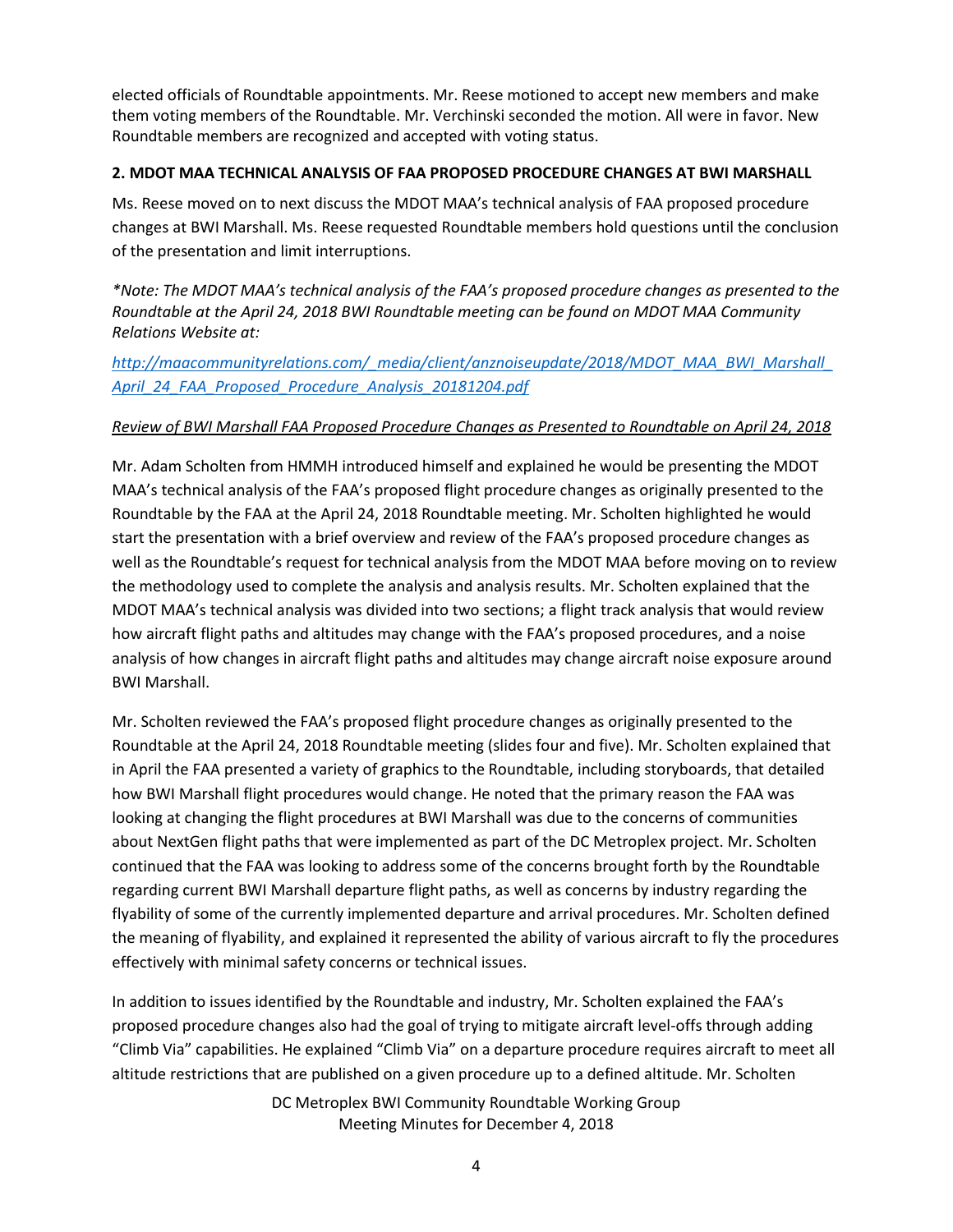elected officials of Roundtable appointments. Mr. Reese motioned to accept new members and make them voting members of the Roundtable. Mr. Verchinski seconded the motion. All were in favor. New Roundtable members are recognized and accepted with voting status.

### **2. MDOT MAA TECHNICAL ANALYSIS OF FAA PROPOSED PROCEDURE CHANGES AT BWI MARSHALL**

Ms. Reese moved on to next discuss the MDOT MAA's technical analysis of FAA proposed procedure changes at BWI Marshall. Ms. Reese requested Roundtable members hold questions until the conclusion of the presentation and limit interruptions.

*\*Note: The MDOT MAA's technical analysis of the FAA's proposed procedure changes as presented to the Roundtable at the April 24, 2018 BWI Roundtable meeting can be found on MDOT MAA Community Relations Website at:*

*[http://maacommunityrelations.com/\\_media/client/anznoiseupdate/2018/MDOT\\_MAA\\_BWI\\_Marshall\\_](http://maacommunityrelations.com/_media/client/anznoiseupdate/2018/MDOT_MAA_BWI_Marshall_April_24_FAA_Proposed_Procedure_Analysis_20181204.pdf) [April\\_24\\_FAA\\_Proposed\\_Procedure\\_Analysis\\_20181204.pdf](http://maacommunityrelations.com/_media/client/anznoiseupdate/2018/MDOT_MAA_BWI_Marshall_April_24_FAA_Proposed_Procedure_Analysis_20181204.pdf)*

## *Review of BWI Marshall FAA Proposed Procedure Changes as Presented to Roundtable on April 24, 2018*

Mr. Adam Scholten from HMMH introduced himself and explained he would be presenting the MDOT MAA's technical analysis of the FAA's proposed flight procedure changes as originally presented to the Roundtable by the FAA at the April 24, 2018 Roundtable meeting. Mr. Scholten highlighted he would start the presentation with a brief overview and review of the FAA's proposed procedure changes as well as the Roundtable's request for technical analysis from the MDOT MAA before moving on to review the methodology used to complete the analysis and analysis results. Mr. Scholten explained that the MDOT MAA's technical analysis was divided into two sections; a flight track analysis that would review how aircraft flight paths and altitudes may change with the FAA's proposed procedures, and a noise analysis of how changes in aircraft flight paths and altitudes may change aircraft noise exposure around BWI Marshall.

Mr. Scholten reviewed the FAA's proposed flight procedure changes as originally presented to the Roundtable at the April 24, 2018 Roundtable meeting (slides four and five). Mr. Scholten explained that in April the FAA presented a variety of graphics to the Roundtable, including storyboards, that detailed how BWI Marshall flight procedures would change. He noted that the primary reason the FAA was looking at changing the flight procedures at BWI Marshall was due to the concerns of communities about NextGen flight paths that were implemented as part of the DC Metroplex project. Mr. Scholten continued that the FAA was looking to address some of the concerns brought forth by the Roundtable regarding current BWI Marshall departure flight paths, as well as concerns by industry regarding the flyability of some of the currently implemented departure and arrival procedures. Mr. Scholten defined the meaning of flyability, and explained it represented the ability of various aircraft to fly the procedures effectively with minimal safety concerns or technical issues.

In addition to issues identified by the Roundtable and industry, Mr. Scholten explained the FAA's proposed procedure changes also had the goal of trying to mitigate aircraft level-offs through adding "Climb Via" capabilities. He explained "Climb Via" on a departure procedure requires aircraft to meet all altitude restrictions that are published on a given procedure up to a defined altitude. Mr. Scholten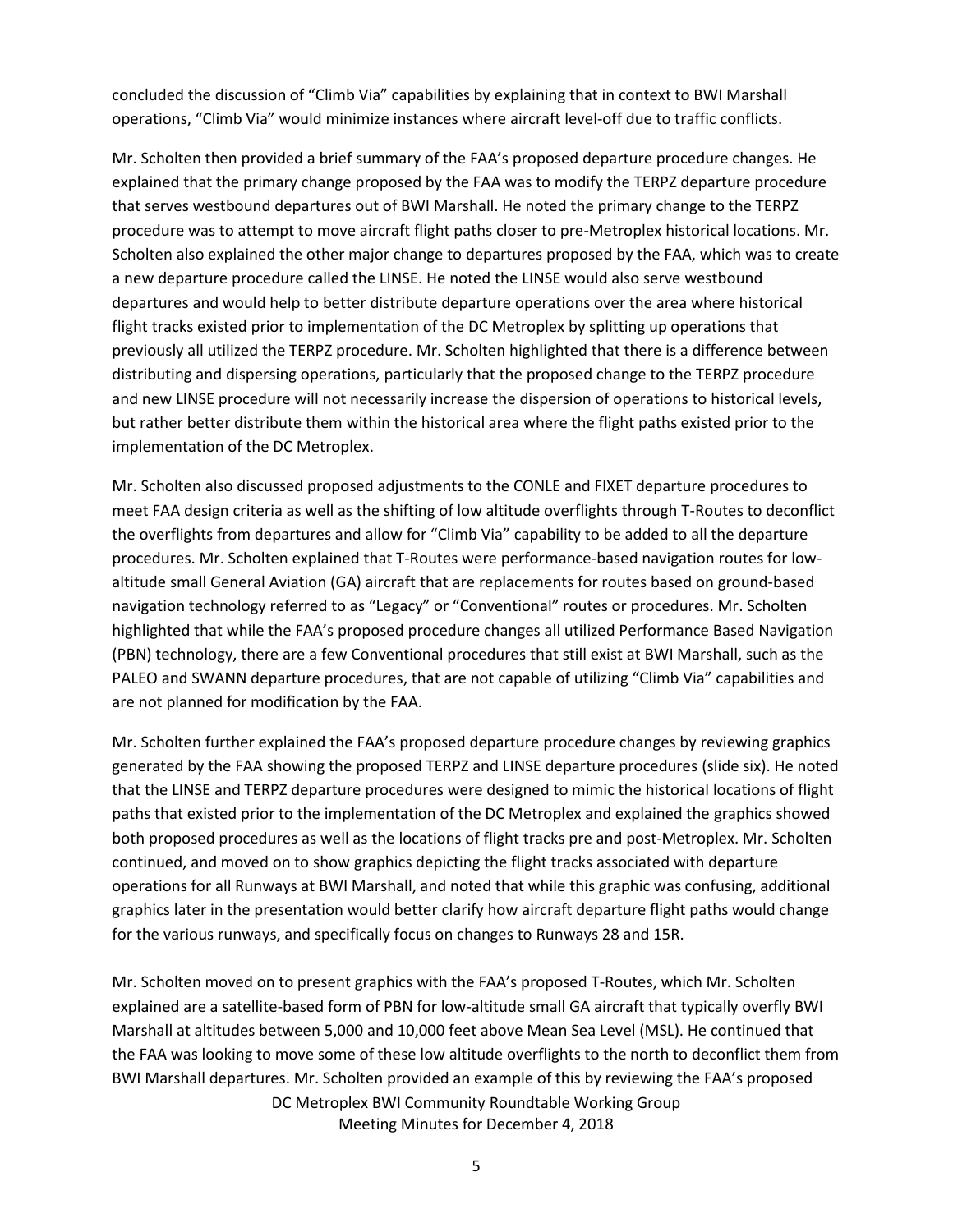concluded the discussion of "Climb Via" capabilities by explaining that in context to BWI Marshall operations, "Climb Via" would minimize instances where aircraft level-off due to traffic conflicts.

Mr. Scholten then provided a brief summary of the FAA's proposed departure procedure changes. He explained that the primary change proposed by the FAA was to modify the TERPZ departure procedure that serves westbound departures out of BWI Marshall. He noted the primary change to the TERPZ procedure was to attempt to move aircraft flight paths closer to pre-Metroplex historical locations. Mr. Scholten also explained the other major change to departures proposed by the FAA, which was to create a new departure procedure called the LINSE. He noted the LINSE would also serve westbound departures and would help to better distribute departure operations over the area where historical flight tracks existed prior to implementation of the DC Metroplex by splitting up operations that previously all utilized the TERPZ procedure. Mr. Scholten highlighted that there is a difference between distributing and dispersing operations, particularly that the proposed change to the TERPZ procedure and new LINSE procedure will not necessarily increase the dispersion of operations to historical levels, but rather better distribute them within the historical area where the flight paths existed prior to the implementation of the DC Metroplex.

Mr. Scholten also discussed proposed adjustments to the CONLE and FIXET departure procedures to meet FAA design criteria as well as the shifting of low altitude overflights through T-Routes to deconflict the overflights from departures and allow for "Climb Via" capability to be added to all the departure procedures. Mr. Scholten explained that T-Routes were performance-based navigation routes for lowaltitude small General Aviation (GA) aircraft that are replacements for routes based on ground-based navigation technology referred to as "Legacy" or "Conventional" routes or procedures. Mr. Scholten highlighted that while the FAA's proposed procedure changes all utilized Performance Based Navigation (PBN) technology, there are a few Conventional procedures that still exist at BWI Marshall, such as the PALEO and SWANN departure procedures, that are not capable of utilizing "Climb Via" capabilities and are not planned for modification by the FAA.

Mr. Scholten further explained the FAA's proposed departure procedure changes by reviewing graphics generated by the FAA showing the proposed TERPZ and LINSE departure procedures (slide six). He noted that the LINSE and TERPZ departure procedures were designed to mimic the historical locations of flight paths that existed prior to the implementation of the DC Metroplex and explained the graphics showed both proposed procedures as well as the locations of flight tracks pre and post-Metroplex. Mr. Scholten continued, and moved on to show graphics depicting the flight tracks associated with departure operations for all Runways at BWI Marshall, and noted that while this graphic was confusing, additional graphics later in the presentation would better clarify how aircraft departure flight paths would change for the various runways, and specifically focus on changes to Runways 28 and 15R.

DC Metroplex BWI Community Roundtable Working Group Meeting Minutes for December 4, 2018 Mr. Scholten moved on to present graphics with the FAA's proposed T-Routes, which Mr. Scholten explained are a satellite-based form of PBN for low-altitude small GA aircraft that typically overfly BWI Marshall at altitudes between 5,000 and 10,000 feet above Mean Sea Level (MSL). He continued that the FAA was looking to move some of these low altitude overflights to the north to deconflict them from BWI Marshall departures. Mr. Scholten provided an example of this by reviewing the FAA's proposed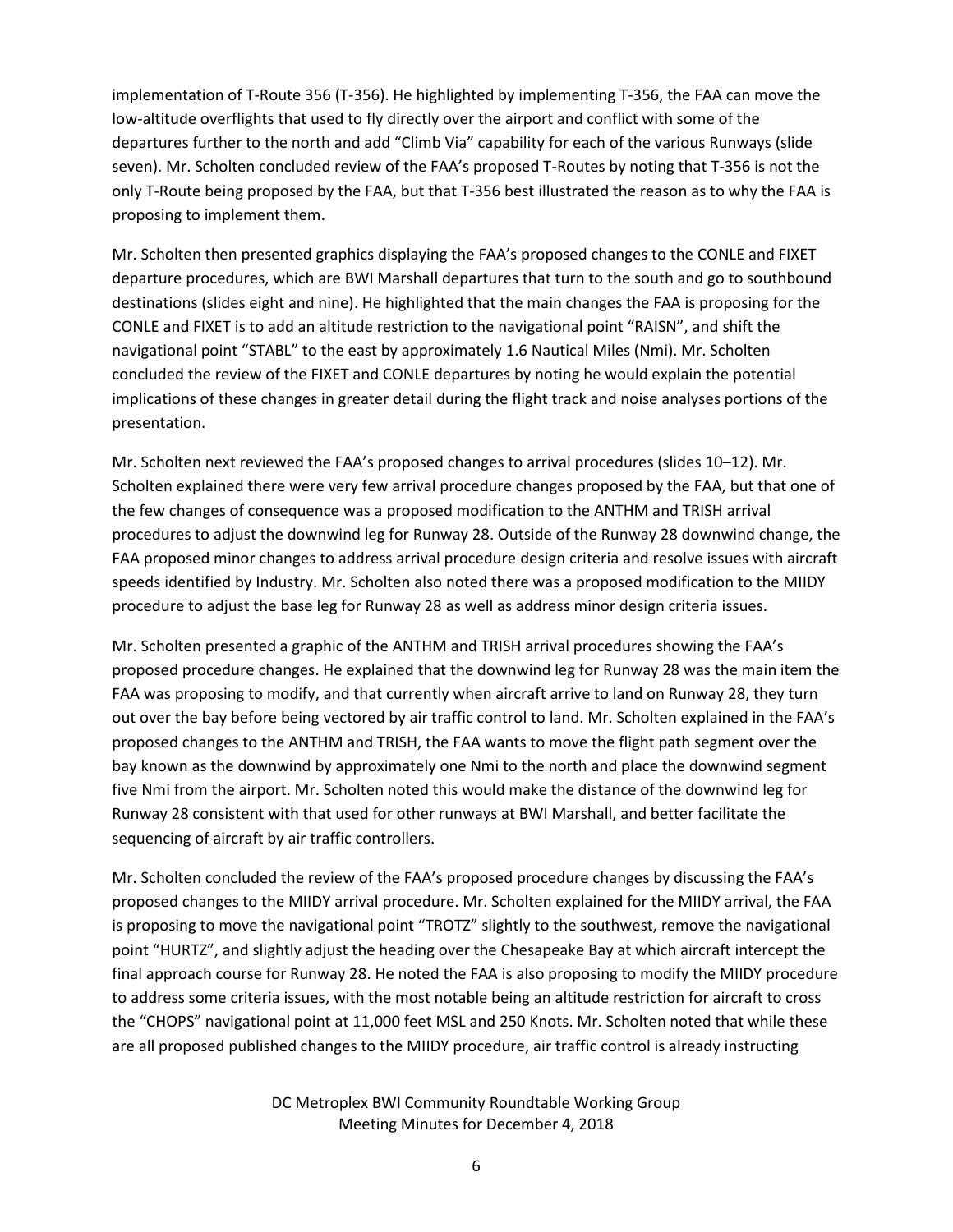implementation of T-Route 356 (T-356). He highlighted by implementing T-356, the FAA can move the low-altitude overflights that used to fly directly over the airport and conflict with some of the departures further to the north and add "Climb Via" capability for each of the various Runways (slide seven). Mr. Scholten concluded review of the FAA's proposed T-Routes by noting that T-356 is not the only T-Route being proposed by the FAA, but that T-356 best illustrated the reason as to why the FAA is proposing to implement them.

Mr. Scholten then presented graphics displaying the FAA's proposed changes to the CONLE and FIXET departure procedures, which are BWI Marshall departures that turn to the south and go to southbound destinations (slides eight and nine). He highlighted that the main changes the FAA is proposing for the CONLE and FIXET is to add an altitude restriction to the navigational point "RAISN", and shift the navigational point "STABL" to the east by approximately 1.6 Nautical Miles (Nmi). Mr. Scholten concluded the review of the FIXET and CONLE departures by noting he would explain the potential implications of these changes in greater detail during the flight track and noise analyses portions of the presentation.

Mr. Scholten next reviewed the FAA's proposed changes to arrival procedures (slides 10–12). Mr. Scholten explained there were very few arrival procedure changes proposed by the FAA, but that one of the few changes of consequence was a proposed modification to the ANTHM and TRISH arrival procedures to adjust the downwind leg for Runway 28. Outside of the Runway 28 downwind change, the FAA proposed minor changes to address arrival procedure design criteria and resolve issues with aircraft speeds identified by Industry. Mr. Scholten also noted there was a proposed modification to the MIIDY procedure to adjust the base leg for Runway 28 as well as address minor design criteria issues.

Mr. Scholten presented a graphic of the ANTHM and TRISH arrival procedures showing the FAA's proposed procedure changes. He explained that the downwind leg for Runway 28 was the main item the FAA was proposing to modify, and that currently when aircraft arrive to land on Runway 28, they turn out over the bay before being vectored by air traffic control to land. Mr. Scholten explained in the FAA's proposed changes to the ANTHM and TRISH, the FAA wants to move the flight path segment over the bay known as the downwind by approximately one Nmi to the north and place the downwind segment five Nmi from the airport. Mr. Scholten noted this would make the distance of the downwind leg for Runway 28 consistent with that used for other runways at BWI Marshall, and better facilitate the sequencing of aircraft by air traffic controllers.

Mr. Scholten concluded the review of the FAA's proposed procedure changes by discussing the FAA's proposed changes to the MIIDY arrival procedure. Mr. Scholten explained for the MIIDY arrival, the FAA is proposing to move the navigational point "TROTZ" slightly to the southwest, remove the navigational point "HURTZ", and slightly adjust the heading over the Chesapeake Bay at which aircraft intercept the final approach course for Runway 28. He noted the FAA is also proposing to modify the MIIDY procedure to address some criteria issues, with the most notable being an altitude restriction for aircraft to cross the "CHOPS" navigational point at 11,000 feet MSL and 250 Knots. Mr. Scholten noted that while these are all proposed published changes to the MIIDY procedure, air traffic control is already instructing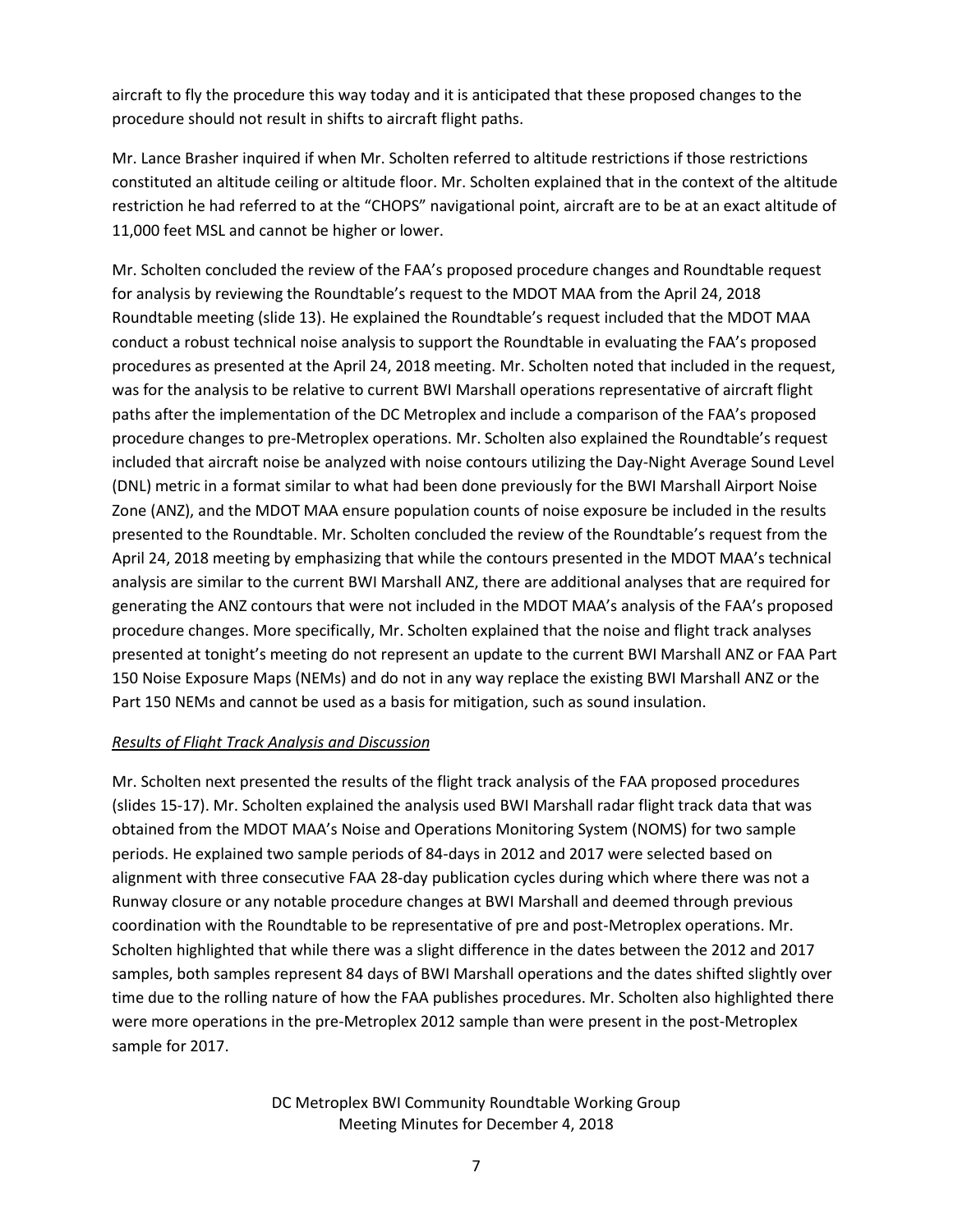aircraft to fly the procedure this way today and it is anticipated that these proposed changes to the procedure should not result in shifts to aircraft flight paths.

Mr. Lance Brasher inquired if when Mr. Scholten referred to altitude restrictions if those restrictions constituted an altitude ceiling or altitude floor. Mr. Scholten explained that in the context of the altitude restriction he had referred to at the "CHOPS" navigational point, aircraft are to be at an exact altitude of 11,000 feet MSL and cannot be higher or lower.

Mr. Scholten concluded the review of the FAA's proposed procedure changes and Roundtable request for analysis by reviewing the Roundtable's request to the MDOT MAA from the April 24, 2018 Roundtable meeting (slide 13). He explained the Roundtable's request included that the MDOT MAA conduct a robust technical noise analysis to support the Roundtable in evaluating the FAA's proposed procedures as presented at the April 24, 2018 meeting. Mr. Scholten noted that included in the request, was for the analysis to be relative to current BWI Marshall operations representative of aircraft flight paths after the implementation of the DC Metroplex and include a comparison of the FAA's proposed procedure changes to pre-Metroplex operations. Mr. Scholten also explained the Roundtable's request included that aircraft noise be analyzed with noise contours utilizing the Day-Night Average Sound Level (DNL) metric in a format similar to what had been done previously for the BWI Marshall Airport Noise Zone (ANZ), and the MDOT MAA ensure population counts of noise exposure be included in the results presented to the Roundtable. Mr. Scholten concluded the review of the Roundtable's request from the April 24, 2018 meeting by emphasizing that while the contours presented in the MDOT MAA's technical analysis are similar to the current BWI Marshall ANZ, there are additional analyses that are required for generating the ANZ contours that were not included in the MDOT MAA's analysis of the FAA's proposed procedure changes. More specifically, Mr. Scholten explained that the noise and flight track analyses presented at tonight's meeting do not represent an update to the current BWI Marshall ANZ or FAA Part 150 Noise Exposure Maps (NEMs) and do not in any way replace the existing BWI Marshall ANZ or the Part 150 NEMs and cannot be used as a basis for mitigation, such as sound insulation.

### *Results of Flight Track Analysis and Discussion*

Mr. Scholten next presented the results of the flight track analysis of the FAA proposed procedures (slides 15-17). Mr. Scholten explained the analysis used BWI Marshall radar flight track data that was obtained from the MDOT MAA's Noise and Operations Monitoring System (NOMS) for two sample periods. He explained two sample periods of 84-days in 2012 and 2017 were selected based on alignment with three consecutive FAA 28-day publication cycles during which where there was not a Runway closure or any notable procedure changes at BWI Marshall and deemed through previous coordination with the Roundtable to be representative of pre and post-Metroplex operations. Mr. Scholten highlighted that while there was a slight difference in the dates between the 2012 and 2017 samples, both samples represent 84 days of BWI Marshall operations and the dates shifted slightly over time due to the rolling nature of how the FAA publishes procedures. Mr. Scholten also highlighted there were more operations in the pre-Metroplex 2012 sample than were present in the post-Metroplex sample for 2017.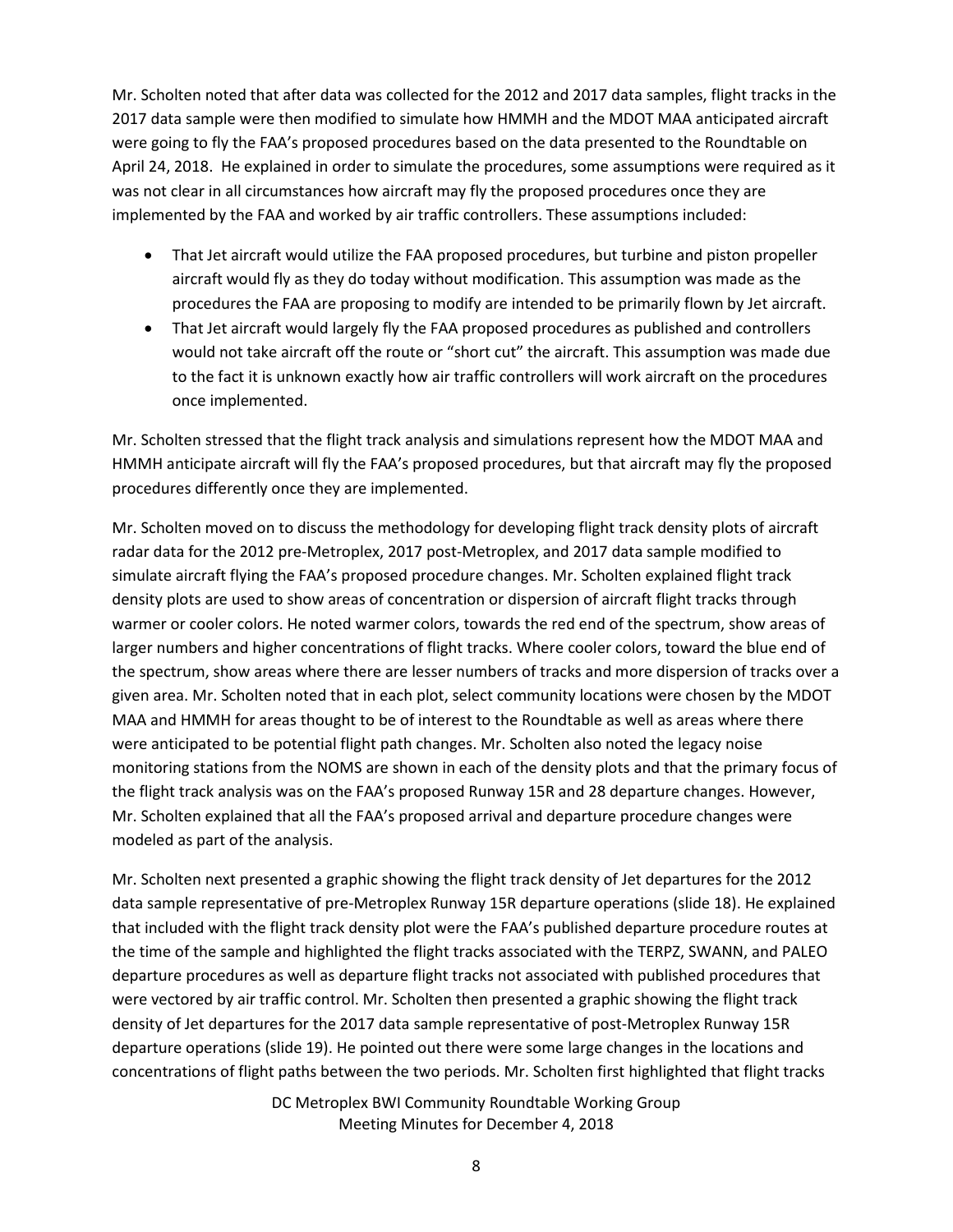Mr. Scholten noted that after data was collected for the 2012 and 2017 data samples, flight tracks in the 2017 data sample were then modified to simulate how HMMH and the MDOT MAA anticipated aircraft were going to fly the FAA's proposed procedures based on the data presented to the Roundtable on April 24, 2018. He explained in order to simulate the procedures, some assumptions were required as it was not clear in all circumstances how aircraft may fly the proposed procedures once they are implemented by the FAA and worked by air traffic controllers. These assumptions included:

- That Jet aircraft would utilize the FAA proposed procedures, but turbine and piston propeller aircraft would fly as they do today without modification. This assumption was made as the procedures the FAA are proposing to modify are intended to be primarily flown by Jet aircraft.
- That Jet aircraft would largely fly the FAA proposed procedures as published and controllers would not take aircraft off the route or "short cut" the aircraft. This assumption was made due to the fact it is unknown exactly how air traffic controllers will work aircraft on the procedures once implemented.

Mr. Scholten stressed that the flight track analysis and simulations represent how the MDOT MAA and HMMH anticipate aircraft will fly the FAA's proposed procedures, but that aircraft may fly the proposed procedures differently once they are implemented.

Mr. Scholten moved on to discuss the methodology for developing flight track density plots of aircraft radar data for the 2012 pre-Metroplex, 2017 post-Metroplex, and 2017 data sample modified to simulate aircraft flying the FAA's proposed procedure changes. Mr. Scholten explained flight track density plots are used to show areas of concentration or dispersion of aircraft flight tracks through warmer or cooler colors. He noted warmer colors, towards the red end of the spectrum, show areas of larger numbers and higher concentrations of flight tracks. Where cooler colors, toward the blue end of the spectrum, show areas where there are lesser numbers of tracks and more dispersion of tracks over a given area. Mr. Scholten noted that in each plot, select community locations were chosen by the MDOT MAA and HMMH for areas thought to be of interest to the Roundtable as well as areas where there were anticipated to be potential flight path changes. Mr. Scholten also noted the legacy noise monitoring stations from the NOMS are shown in each of the density plots and that the primary focus of the flight track analysis was on the FAA's proposed Runway 15R and 28 departure changes. However, Mr. Scholten explained that all the FAA's proposed arrival and departure procedure changes were modeled as part of the analysis.

Mr. Scholten next presented a graphic showing the flight track density of Jet departures for the 2012 data sample representative of pre-Metroplex Runway 15R departure operations (slide 18). He explained that included with the flight track density plot were the FAA's published departure procedure routes at the time of the sample and highlighted the flight tracks associated with the TERPZ, SWANN, and PALEO departure procedures as well as departure flight tracks not associated with published procedures that were vectored by air traffic control. Mr. Scholten then presented a graphic showing the flight track density of Jet departures for the 2017 data sample representative of post-Metroplex Runway 15R departure operations (slide 19). He pointed out there were some large changes in the locations and concentrations of flight paths between the two periods. Mr. Scholten first highlighted that flight tracks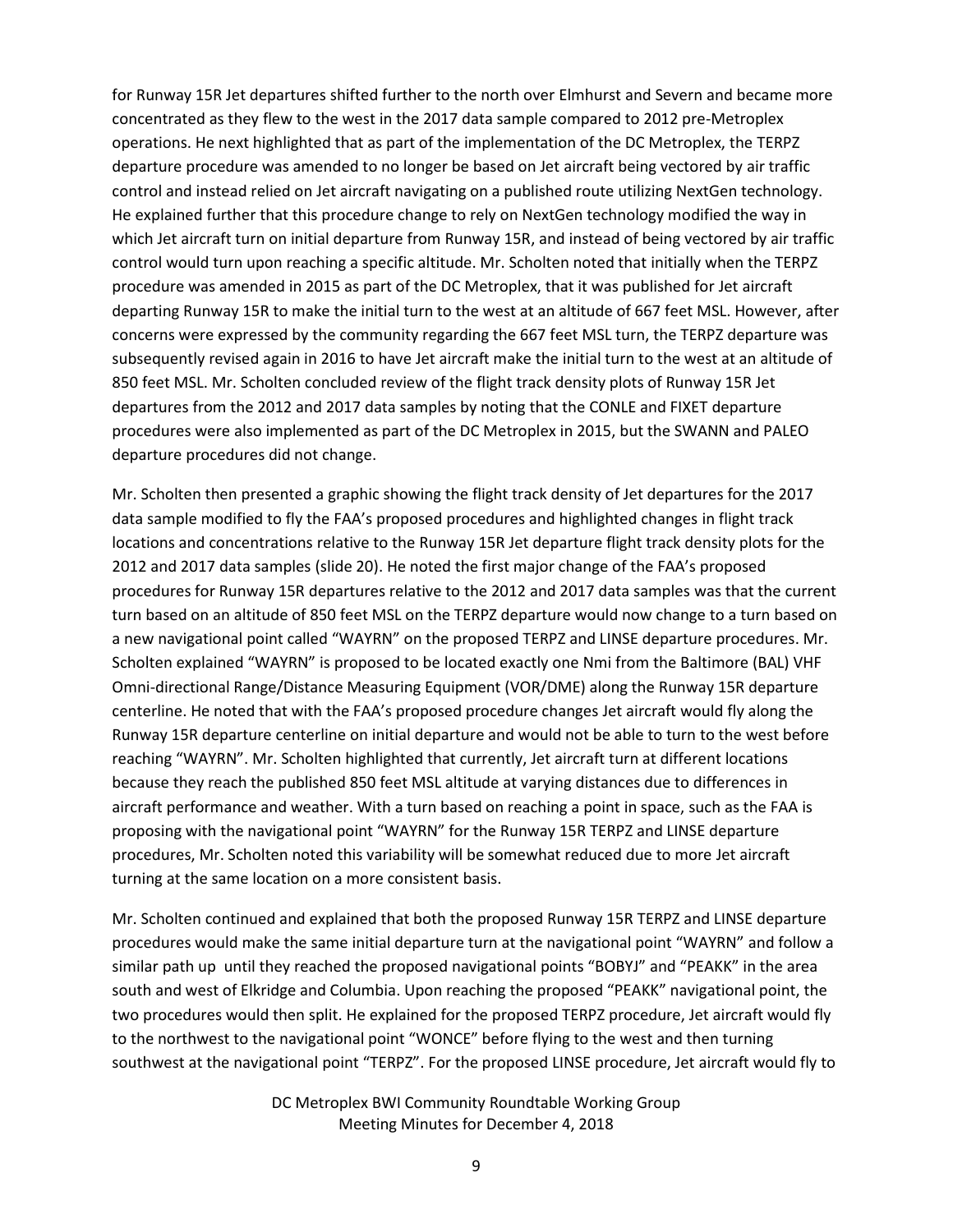for Runway 15R Jet departures shifted further to the north over Elmhurst and Severn and became more concentrated as they flew to the west in the 2017 data sample compared to 2012 pre-Metroplex operations. He next highlighted that as part of the implementation of the DC Metroplex, the TERPZ departure procedure was amended to no longer be based on Jet aircraft being vectored by air traffic control and instead relied on Jet aircraft navigating on a published route utilizing NextGen technology. He explained further that this procedure change to rely on NextGen technology modified the way in which Jet aircraft turn on initial departure from Runway 15R, and instead of being vectored by air traffic control would turn upon reaching a specific altitude. Mr. Scholten noted that initially when the TERPZ procedure was amended in 2015 as part of the DC Metroplex, that it was published for Jet aircraft departing Runway 15R to make the initial turn to the west at an altitude of 667 feet MSL. However, after concerns were expressed by the community regarding the 667 feet MSL turn, the TERPZ departure was subsequently revised again in 2016 to have Jet aircraft make the initial turn to the west at an altitude of 850 feet MSL. Mr. Scholten concluded review of the flight track density plots of Runway 15R Jet departures from the 2012 and 2017 data samples by noting that the CONLE and FIXET departure procedures were also implemented as part of the DC Metroplex in 2015, but the SWANN and PALEO departure procedures did not change.

Mr. Scholten then presented a graphic showing the flight track density of Jet departures for the 2017 data sample modified to fly the FAA's proposed procedures and highlighted changes in flight track locations and concentrations relative to the Runway 15R Jet departure flight track density plots for the 2012 and 2017 data samples (slide 20). He noted the first major change of the FAA's proposed procedures for Runway 15R departures relative to the 2012 and 2017 data samples was that the current turn based on an altitude of 850 feet MSL on the TERPZ departure would now change to a turn based on a new navigational point called "WAYRN" on the proposed TERPZ and LINSE departure procedures. Mr. Scholten explained "WAYRN" is proposed to be located exactly one Nmi from the Baltimore (BAL) VHF Omni-directional Range/Distance Measuring Equipment (VOR/DME) along the Runway 15R departure centerline. He noted that with the FAA's proposed procedure changes Jet aircraft would fly along the Runway 15R departure centerline on initial departure and would not be able to turn to the west before reaching "WAYRN". Mr. Scholten highlighted that currently, Jet aircraft turn at different locations because they reach the published 850 feet MSL altitude at varying distances due to differences in aircraft performance and weather. With a turn based on reaching a point in space, such as the FAA is proposing with the navigational point "WAYRN" for the Runway 15R TERPZ and LINSE departure procedures, Mr. Scholten noted this variability will be somewhat reduced due to more Jet aircraft turning at the same location on a more consistent basis.

Mr. Scholten continued and explained that both the proposed Runway 15R TERPZ and LINSE departure procedures would make the same initial departure turn at the navigational point "WAYRN" and follow a similar path up until they reached the proposed navigational points "BOBYJ" and "PEAKK" in the area south and west of Elkridge and Columbia. Upon reaching the proposed "PEAKK" navigational point, the two procedures would then split. He explained for the proposed TERPZ procedure, Jet aircraft would fly to the northwest to the navigational point "WONCE" before flying to the west and then turning southwest at the navigational point "TERPZ". For the proposed LINSE procedure, Jet aircraft would fly to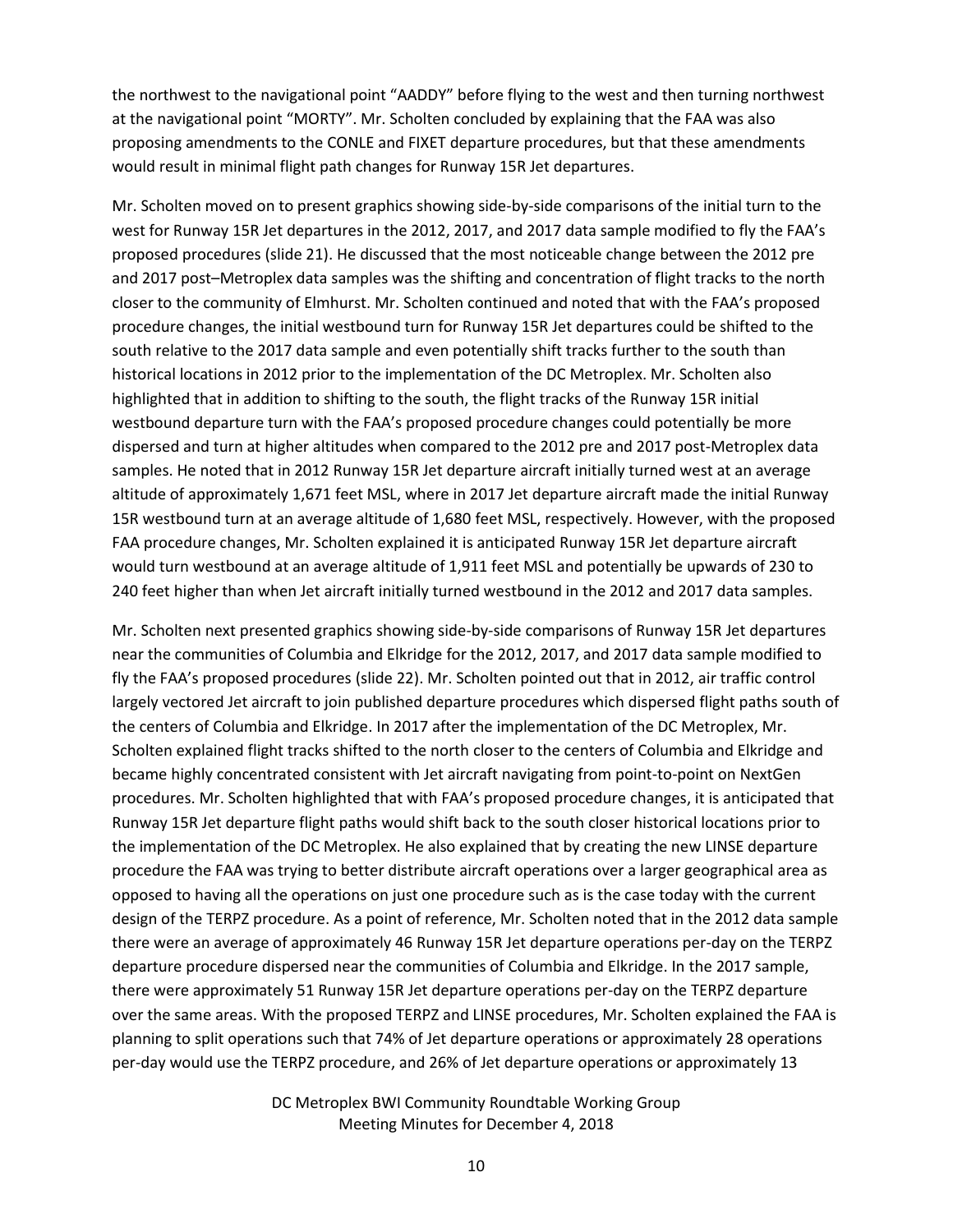the northwest to the navigational point "AADDY" before flying to the west and then turning northwest at the navigational point "MORTY". Mr. Scholten concluded by explaining that the FAA was also proposing amendments to the CONLE and FIXET departure procedures, but that these amendments would result in minimal flight path changes for Runway 15R Jet departures.

Mr. Scholten moved on to present graphics showing side-by-side comparisons of the initial turn to the west for Runway 15R Jet departures in the 2012, 2017, and 2017 data sample modified to fly the FAA's proposed procedures (slide 21). He discussed that the most noticeable change between the 2012 pre and 2017 post–Metroplex data samples was the shifting and concentration of flight tracks to the north closer to the community of Elmhurst. Mr. Scholten continued and noted that with the FAA's proposed procedure changes, the initial westbound turn for Runway 15R Jet departures could be shifted to the south relative to the 2017 data sample and even potentially shift tracks further to the south than historical locations in 2012 prior to the implementation of the DC Metroplex. Mr. Scholten also highlighted that in addition to shifting to the south, the flight tracks of the Runway 15R initial westbound departure turn with the FAA's proposed procedure changes could potentially be more dispersed and turn at higher altitudes when compared to the 2012 pre and 2017 post-Metroplex data samples. He noted that in 2012 Runway 15R Jet departure aircraft initially turned west at an average altitude of approximately 1,671 feet MSL, where in 2017 Jet departure aircraft made the initial Runway 15R westbound turn at an average altitude of 1,680 feet MSL, respectively. However, with the proposed FAA procedure changes, Mr. Scholten explained it is anticipated Runway 15R Jet departure aircraft would turn westbound at an average altitude of 1,911 feet MSL and potentially be upwards of 230 to 240 feet higher than when Jet aircraft initially turned westbound in the 2012 and 2017 data samples.

Mr. Scholten next presented graphics showing side-by-side comparisons of Runway 15R Jet departures near the communities of Columbia and Elkridge for the 2012, 2017, and 2017 data sample modified to fly the FAA's proposed procedures (slide 22). Mr. Scholten pointed out that in 2012, air traffic control largely vectored Jet aircraft to join published departure procedures which dispersed flight paths south of the centers of Columbia and Elkridge. In 2017 after the implementation of the DC Metroplex, Mr. Scholten explained flight tracks shifted to the north closer to the centers of Columbia and Elkridge and became highly concentrated consistent with Jet aircraft navigating from point-to-point on NextGen procedures. Mr. Scholten highlighted that with FAA's proposed procedure changes, it is anticipated that Runway 15R Jet departure flight paths would shift back to the south closer historical locations prior to the implementation of the DC Metroplex. He also explained that by creating the new LINSE departure procedure the FAA was trying to better distribute aircraft operations over a larger geographical area as opposed to having all the operations on just one procedure such as is the case today with the current design of the TERPZ procedure. As a point of reference, Mr. Scholten noted that in the 2012 data sample there were an average of approximately 46 Runway 15R Jet departure operations per-day on the TERPZ departure procedure dispersed near the communities of Columbia and Elkridge. In the 2017 sample, there were approximately 51 Runway 15R Jet departure operations per-day on the TERPZ departure over the same areas. With the proposed TERPZ and LINSE procedures, Mr. Scholten explained the FAA is planning to split operations such that 74% of Jet departure operations or approximately 28 operations per-day would use the TERPZ procedure, and 26% of Jet departure operations or approximately 13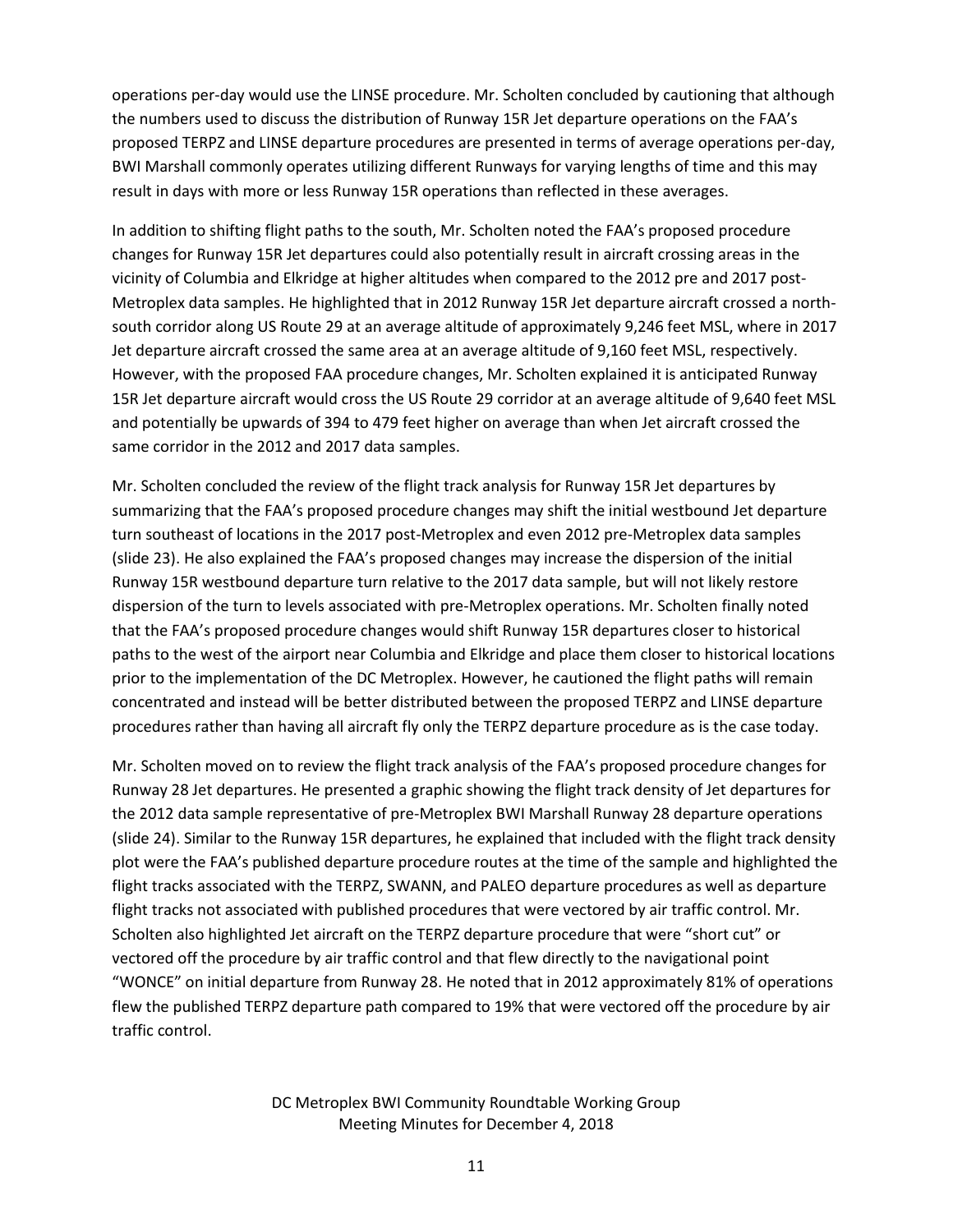operations per-day would use the LINSE procedure. Mr. Scholten concluded by cautioning that although the numbers used to discuss the distribution of Runway 15R Jet departure operations on the FAA's proposed TERPZ and LINSE departure procedures are presented in terms of average operations per-day, BWI Marshall commonly operates utilizing different Runways for varying lengths of time and this may result in days with more or less Runway 15R operations than reflected in these averages.

In addition to shifting flight paths to the south, Mr. Scholten noted the FAA's proposed procedure changes for Runway 15R Jet departures could also potentially result in aircraft crossing areas in the vicinity of Columbia and Elkridge at higher altitudes when compared to the 2012 pre and 2017 post-Metroplex data samples. He highlighted that in 2012 Runway 15R Jet departure aircraft crossed a northsouth corridor along US Route 29 at an average altitude of approximately 9,246 feet MSL, where in 2017 Jet departure aircraft crossed the same area at an average altitude of 9,160 feet MSL, respectively. However, with the proposed FAA procedure changes, Mr. Scholten explained it is anticipated Runway 15R Jet departure aircraft would cross the US Route 29 corridor at an average altitude of 9,640 feet MSL and potentially be upwards of 394 to 479 feet higher on average than when Jet aircraft crossed the same corridor in the 2012 and 2017 data samples.

Mr. Scholten concluded the review of the flight track analysis for Runway 15R Jet departures by summarizing that the FAA's proposed procedure changes may shift the initial westbound Jet departure turn southeast of locations in the 2017 post-Metroplex and even 2012 pre-Metroplex data samples (slide 23). He also explained the FAA's proposed changes may increase the dispersion of the initial Runway 15R westbound departure turn relative to the 2017 data sample, but will not likely restore dispersion of the turn to levels associated with pre-Metroplex operations. Mr. Scholten finally noted that the FAA's proposed procedure changes would shift Runway 15R departures closer to historical paths to the west of the airport near Columbia and Elkridge and place them closer to historical locations prior to the implementation of the DC Metroplex. However, he cautioned the flight paths will remain concentrated and instead will be better distributed between the proposed TERPZ and LINSE departure procedures rather than having all aircraft fly only the TERPZ departure procedure as is the case today.

Mr. Scholten moved on to review the flight track analysis of the FAA's proposed procedure changes for Runway 28 Jet departures. He presented a graphic showing the flight track density of Jet departures for the 2012 data sample representative of pre-Metroplex BWI Marshall Runway 28 departure operations (slide 24). Similar to the Runway 15R departures, he explained that included with the flight track density plot were the FAA's published departure procedure routes at the time of the sample and highlighted the flight tracks associated with the TERPZ, SWANN, and PALEO departure procedures as well as departure flight tracks not associated with published procedures that were vectored by air traffic control. Mr. Scholten also highlighted Jet aircraft on the TERPZ departure procedure that were "short cut" or vectored off the procedure by air traffic control and that flew directly to the navigational point "WONCE" on initial departure from Runway 28. He noted that in 2012 approximately 81% of operations flew the published TERPZ departure path compared to 19% that were vectored off the procedure by air traffic control.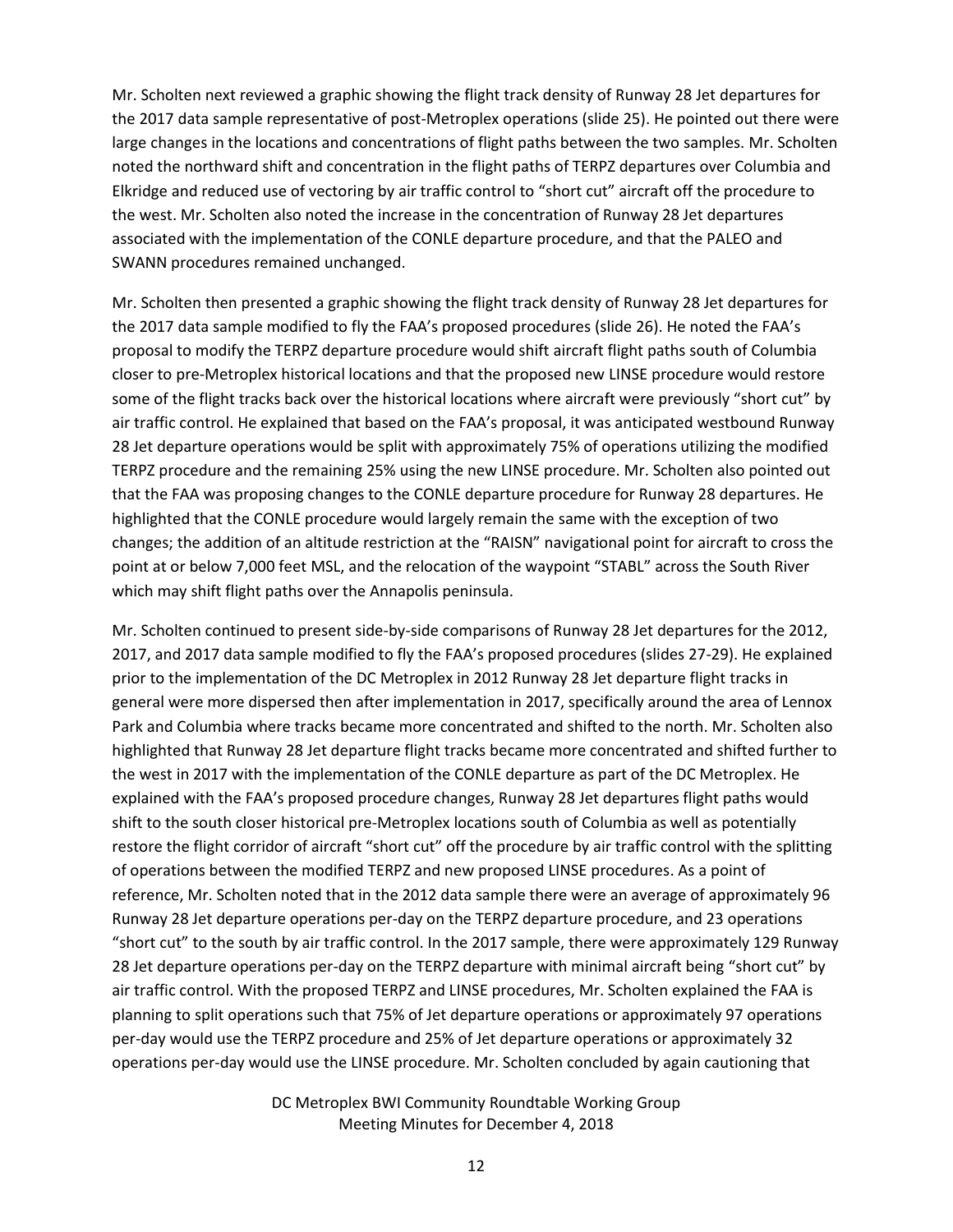Mr. Scholten next reviewed a graphic showing the flight track density of Runway 28 Jet departures for the 2017 data sample representative of post-Metroplex operations (slide 25). He pointed out there were large changes in the locations and concentrations of flight paths between the two samples. Mr. Scholten noted the northward shift and concentration in the flight paths of TERPZ departures over Columbia and Elkridge and reduced use of vectoring by air traffic control to "short cut" aircraft off the procedure to the west. Mr. Scholten also noted the increase in the concentration of Runway 28 Jet departures associated with the implementation of the CONLE departure procedure, and that the PALEO and SWANN procedures remained unchanged.

Mr. Scholten then presented a graphic showing the flight track density of Runway 28 Jet departures for the 2017 data sample modified to fly the FAA's proposed procedures (slide 26). He noted the FAA's proposal to modify the TERPZ departure procedure would shift aircraft flight paths south of Columbia closer to pre-Metroplex historical locations and that the proposed new LINSE procedure would restore some of the flight tracks back over the historical locations where aircraft were previously "short cut" by air traffic control. He explained that based on the FAA's proposal, it was anticipated westbound Runway 28 Jet departure operations would be split with approximately 75% of operations utilizing the modified TERPZ procedure and the remaining 25% using the new LINSE procedure. Mr. Scholten also pointed out that the FAA was proposing changes to the CONLE departure procedure for Runway 28 departures. He highlighted that the CONLE procedure would largely remain the same with the exception of two changes; the addition of an altitude restriction at the "RAISN" navigational point for aircraft to cross the point at or below 7,000 feet MSL, and the relocation of the waypoint "STABL" across the South River which may shift flight paths over the Annapolis peninsula.

Mr. Scholten continued to present side-by-side comparisons of Runway 28 Jet departures for the 2012, 2017, and 2017 data sample modified to fly the FAA's proposed procedures (slides 27-29). He explained prior to the implementation of the DC Metroplex in 2012 Runway 28 Jet departure flight tracks in general were more dispersed then after implementation in 2017, specifically around the area of Lennox Park and Columbia where tracks became more concentrated and shifted to the north. Mr. Scholten also highlighted that Runway 28 Jet departure flight tracks became more concentrated and shifted further to the west in 2017 with the implementation of the CONLE departure as part of the DC Metroplex. He explained with the FAA's proposed procedure changes, Runway 28 Jet departures flight paths would shift to the south closer historical pre-Metroplex locations south of Columbia as well as potentially restore the flight corridor of aircraft "short cut" off the procedure by air traffic control with the splitting of operations between the modified TERPZ and new proposed LINSE procedures. As a point of reference, Mr. Scholten noted that in the 2012 data sample there were an average of approximately 96 Runway 28 Jet departure operations per-day on the TERPZ departure procedure, and 23 operations "short cut" to the south by air traffic control. In the 2017 sample, there were approximately 129 Runway 28 Jet departure operations per-day on the TERPZ departure with minimal aircraft being "short cut" by air traffic control. With the proposed TERPZ and LINSE procedures, Mr. Scholten explained the FAA is planning to split operations such that 75% of Jet departure operations or approximately 97 operations per-day would use the TERPZ procedure and 25% of Jet departure operations or approximately 32 operations per-day would use the LINSE procedure. Mr. Scholten concluded by again cautioning that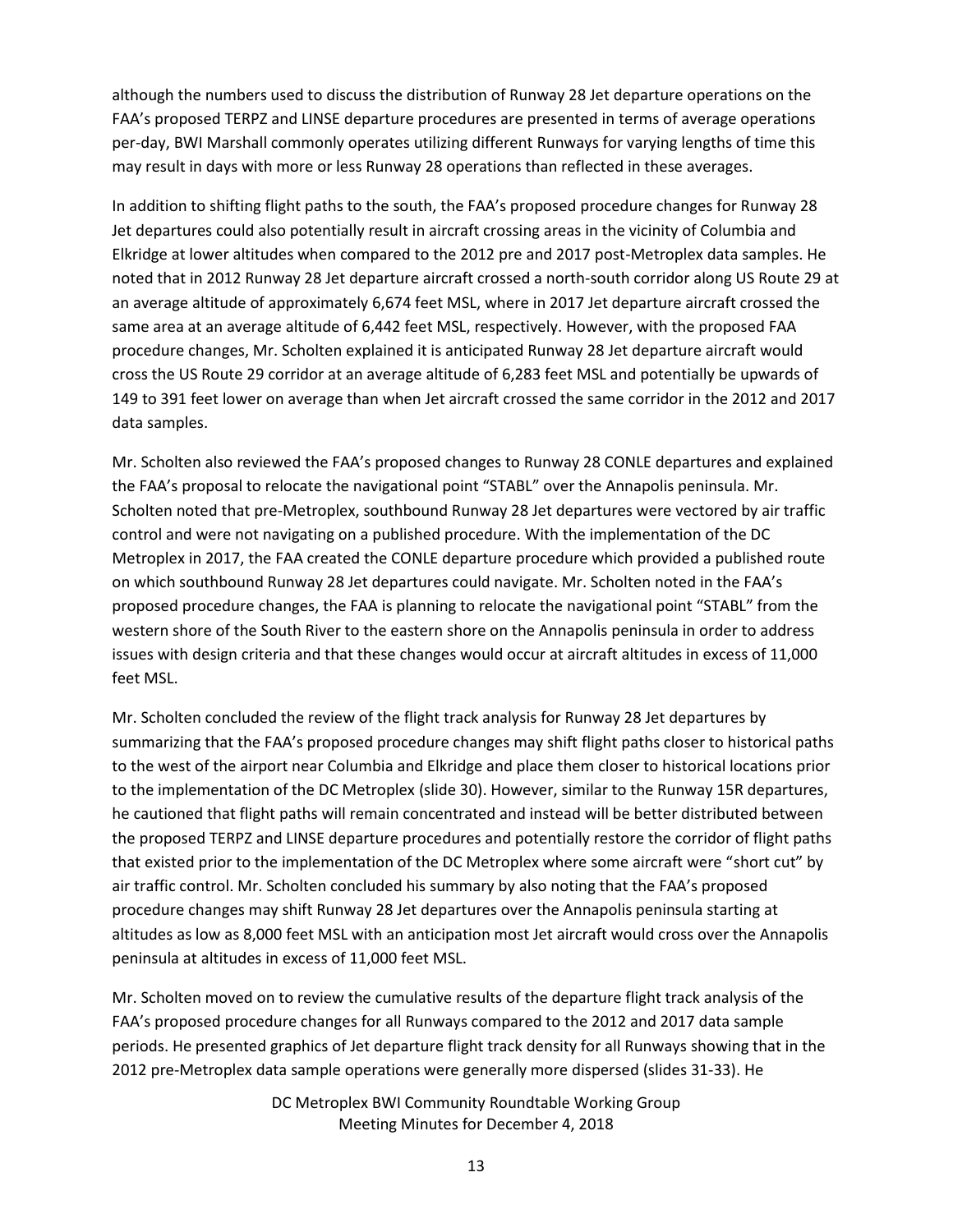although the numbers used to discuss the distribution of Runway 28 Jet departure operations on the FAA's proposed TERPZ and LINSE departure procedures are presented in terms of average operations per-day, BWI Marshall commonly operates utilizing different Runways for varying lengths of time this may result in days with more or less Runway 28 operations than reflected in these averages.

In addition to shifting flight paths to the south, the FAA's proposed procedure changes for Runway 28 Jet departures could also potentially result in aircraft crossing areas in the vicinity of Columbia and Elkridge at lower altitudes when compared to the 2012 pre and 2017 post-Metroplex data samples. He noted that in 2012 Runway 28 Jet departure aircraft crossed a north-south corridor along US Route 29 at an average altitude of approximately 6,674 feet MSL, where in 2017 Jet departure aircraft crossed the same area at an average altitude of 6,442 feet MSL, respectively. However, with the proposed FAA procedure changes, Mr. Scholten explained it is anticipated Runway 28 Jet departure aircraft would cross the US Route 29 corridor at an average altitude of 6,283 feet MSL and potentially be upwards of 149 to 391 feet lower on average than when Jet aircraft crossed the same corridor in the 2012 and 2017 data samples.

Mr. Scholten also reviewed the FAA's proposed changes to Runway 28 CONLE departures and explained the FAA's proposal to relocate the navigational point "STABL" over the Annapolis peninsula. Mr. Scholten noted that pre-Metroplex, southbound Runway 28 Jet departures were vectored by air traffic control and were not navigating on a published procedure. With the implementation of the DC Metroplex in 2017, the FAA created the CONLE departure procedure which provided a published route on which southbound Runway 28 Jet departures could navigate. Mr. Scholten noted in the FAA's proposed procedure changes, the FAA is planning to relocate the navigational point "STABL" from the western shore of the South River to the eastern shore on the Annapolis peninsula in order to address issues with design criteria and that these changes would occur at aircraft altitudes in excess of 11,000 feet MSL.

Mr. Scholten concluded the review of the flight track analysis for Runway 28 Jet departures by summarizing that the FAA's proposed procedure changes may shift flight paths closer to historical paths to the west of the airport near Columbia and Elkridge and place them closer to historical locations prior to the implementation of the DC Metroplex (slide 30). However, similar to the Runway 15R departures, he cautioned that flight paths will remain concentrated and instead will be better distributed between the proposed TERPZ and LINSE departure procedures and potentially restore the corridor of flight paths that existed prior to the implementation of the DC Metroplex where some aircraft were "short cut" by air traffic control. Mr. Scholten concluded his summary by also noting that the FAA's proposed procedure changes may shift Runway 28 Jet departures over the Annapolis peninsula starting at altitudes as low as 8,000 feet MSL with an anticipation most Jet aircraft would cross over the Annapolis peninsula at altitudes in excess of 11,000 feet MSL.

Mr. Scholten moved on to review the cumulative results of the departure flight track analysis of the FAA's proposed procedure changes for all Runways compared to the 2012 and 2017 data sample periods. He presented graphics of Jet departure flight track density for all Runways showing that in the 2012 pre-Metroplex data sample operations were generally more dispersed (slides 31-33). He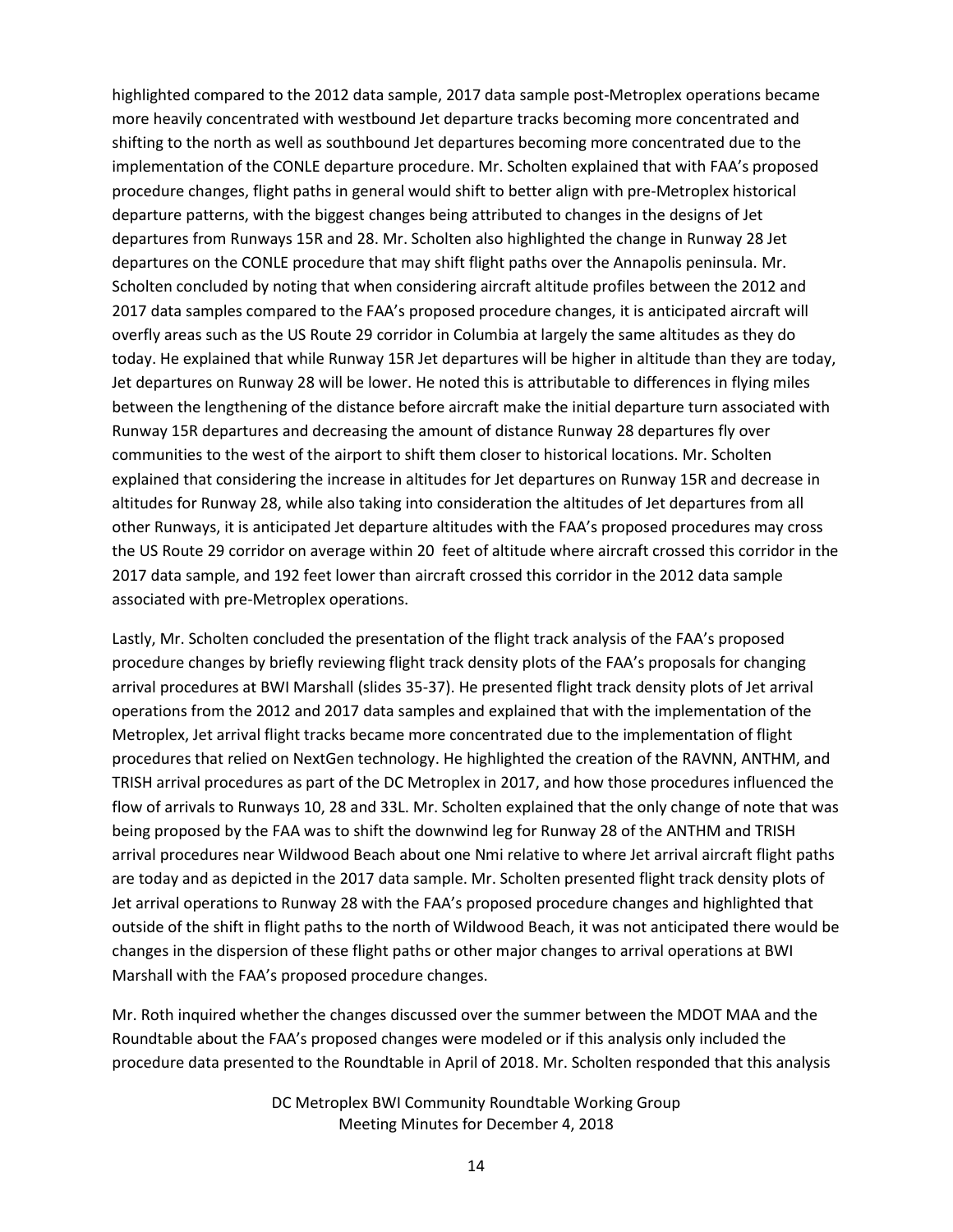highlighted compared to the 2012 data sample, 2017 data sample post-Metroplex operations became more heavily concentrated with westbound Jet departure tracks becoming more concentrated and shifting to the north as well as southbound Jet departures becoming more concentrated due to the implementation of the CONLE departure procedure. Mr. Scholten explained that with FAA's proposed procedure changes, flight paths in general would shift to better align with pre-Metroplex historical departure patterns, with the biggest changes being attributed to changes in the designs of Jet departures from Runways 15R and 28. Mr. Scholten also highlighted the change in Runway 28 Jet departures on the CONLE procedure that may shift flight paths over the Annapolis peninsula. Mr. Scholten concluded by noting that when considering aircraft altitude profiles between the 2012 and 2017 data samples compared to the FAA's proposed procedure changes, it is anticipated aircraft will overfly areas such as the US Route 29 corridor in Columbia at largely the same altitudes as they do today. He explained that while Runway 15R Jet departures will be higher in altitude than they are today, Jet departures on Runway 28 will be lower. He noted this is attributable to differences in flying miles between the lengthening of the distance before aircraft make the initial departure turn associated with Runway 15R departures and decreasing the amount of distance Runway 28 departures fly over communities to the west of the airport to shift them closer to historical locations. Mr. Scholten explained that considering the increase in altitudes for Jet departures on Runway 15R and decrease in altitudes for Runway 28, while also taking into consideration the altitudes of Jet departures from all other Runways, it is anticipated Jet departure altitudes with the FAA's proposed procedures may cross the US Route 29 corridor on average within 20 feet of altitude where aircraft crossed this corridor in the 2017 data sample, and 192 feet lower than aircraft crossed this corridor in the 2012 data sample associated with pre-Metroplex operations.

Lastly, Mr. Scholten concluded the presentation of the flight track analysis of the FAA's proposed procedure changes by briefly reviewing flight track density plots of the FAA's proposals for changing arrival procedures at BWI Marshall (slides 35-37). He presented flight track density plots of Jet arrival operations from the 2012 and 2017 data samples and explained that with the implementation of the Metroplex, Jet arrival flight tracks became more concentrated due to the implementation of flight procedures that relied on NextGen technology. He highlighted the creation of the RAVNN, ANTHM, and TRISH arrival procedures as part of the DC Metroplex in 2017, and how those procedures influenced the flow of arrivals to Runways 10, 28 and 33L. Mr. Scholten explained that the only change of note that was being proposed by the FAA was to shift the downwind leg for Runway 28 of the ANTHM and TRISH arrival procedures near Wildwood Beach about one Nmi relative to where Jet arrival aircraft flight paths are today and as depicted in the 2017 data sample. Mr. Scholten presented flight track density plots of Jet arrival operations to Runway 28 with the FAA's proposed procedure changes and highlighted that outside of the shift in flight paths to the north of Wildwood Beach, it was not anticipated there would be changes in the dispersion of these flight paths or other major changes to arrival operations at BWI Marshall with the FAA's proposed procedure changes.

Mr. Roth inquired whether the changes discussed over the summer between the MDOT MAA and the Roundtable about the FAA's proposed changes were modeled or if this analysis only included the procedure data presented to the Roundtable in April of 2018. Mr. Scholten responded that this analysis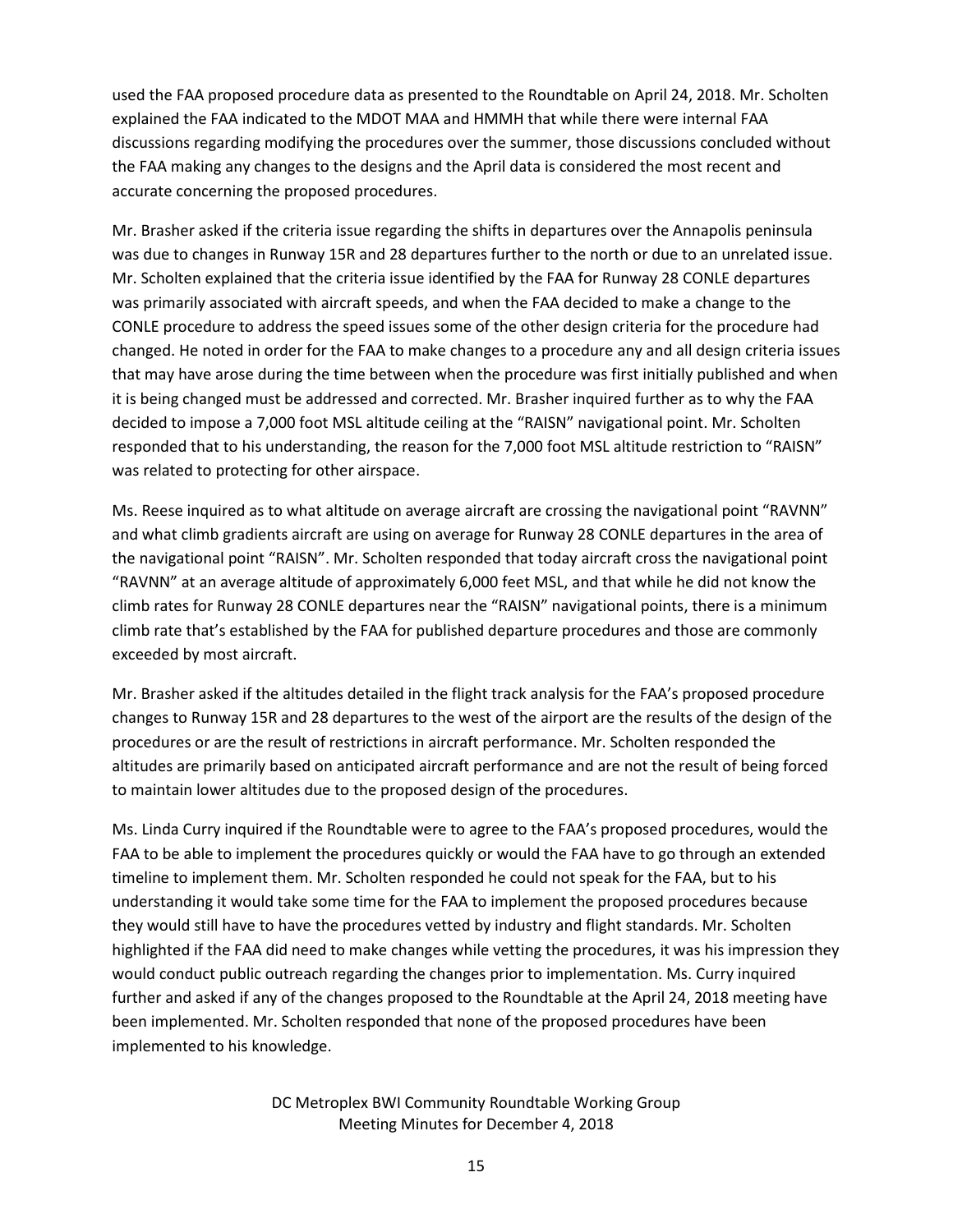used the FAA proposed procedure data as presented to the Roundtable on April 24, 2018. Mr. Scholten explained the FAA indicated to the MDOT MAA and HMMH that while there were internal FAA discussions regarding modifying the procedures over the summer, those discussions concluded without the FAA making any changes to the designs and the April data is considered the most recent and accurate concerning the proposed procedures.

Mr. Brasher asked if the criteria issue regarding the shifts in departures over the Annapolis peninsula was due to changes in Runway 15R and 28 departures further to the north or due to an unrelated issue. Mr. Scholten explained that the criteria issue identified by the FAA for Runway 28 CONLE departures was primarily associated with aircraft speeds, and when the FAA decided to make a change to the CONLE procedure to address the speed issues some of the other design criteria for the procedure had changed. He noted in order for the FAA to make changes to a procedure any and all design criteria issues that may have arose during the time between when the procedure was first initially published and when it is being changed must be addressed and corrected. Mr. Brasher inquired further as to why the FAA decided to impose a 7,000 foot MSL altitude ceiling at the "RAISN" navigational point. Mr. Scholten responded that to his understanding, the reason for the 7,000 foot MSL altitude restriction to "RAISN" was related to protecting for other airspace.

Ms. Reese inquired as to what altitude on average aircraft are crossing the navigational point "RAVNN" and what climb gradients aircraft are using on average for Runway 28 CONLE departures in the area of the navigational point "RAISN". Mr. Scholten responded that today aircraft cross the navigational point "RAVNN" at an average altitude of approximately 6,000 feet MSL, and that while he did not know the climb rates for Runway 28 CONLE departures near the "RAISN" navigational points, there is a minimum climb rate that's established by the FAA for published departure procedures and those are commonly exceeded by most aircraft.

Mr. Brasher asked if the altitudes detailed in the flight track analysis for the FAA's proposed procedure changes to Runway 15R and 28 departures to the west of the airport are the results of the design of the procedures or are the result of restrictions in aircraft performance. Mr. Scholten responded the altitudes are primarily based on anticipated aircraft performance and are not the result of being forced to maintain lower altitudes due to the proposed design of the procedures.

Ms. Linda Curry inquired if the Roundtable were to agree to the FAA's proposed procedures, would the FAA to be able to implement the procedures quickly or would the FAA have to go through an extended timeline to implement them. Mr. Scholten responded he could not speak for the FAA, but to his understanding it would take some time for the FAA to implement the proposed procedures because they would still have to have the procedures vetted by industry and flight standards. Mr. Scholten highlighted if the FAA did need to make changes while vetting the procedures, it was his impression they would conduct public outreach regarding the changes prior to implementation. Ms. Curry inquired further and asked if any of the changes proposed to the Roundtable at the April 24, 2018 meeting have been implemented. Mr. Scholten responded that none of the proposed procedures have been implemented to his knowledge.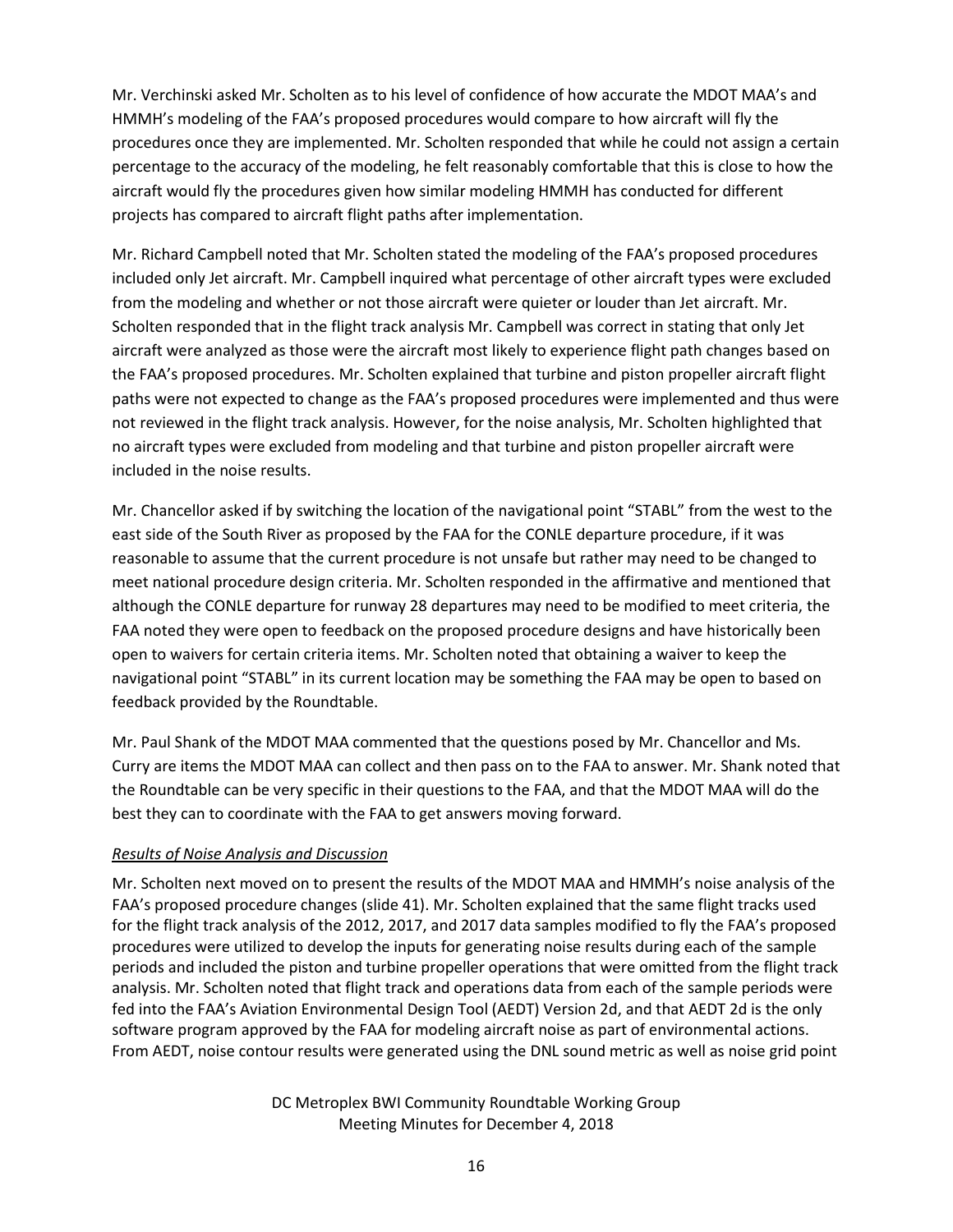Mr. Verchinski asked Mr. Scholten as to his level of confidence of how accurate the MDOT MAA's and HMMH's modeling of the FAA's proposed procedures would compare to how aircraft will fly the procedures once they are implemented. Mr. Scholten responded that while he could not assign a certain percentage to the accuracy of the modeling, he felt reasonably comfortable that this is close to how the aircraft would fly the procedures given how similar modeling HMMH has conducted for different projects has compared to aircraft flight paths after implementation.

Mr. Richard Campbell noted that Mr. Scholten stated the modeling of the FAA's proposed procedures included only Jet aircraft. Mr. Campbell inquired what percentage of other aircraft types were excluded from the modeling and whether or not those aircraft were quieter or louder than Jet aircraft. Mr. Scholten responded that in the flight track analysis Mr. Campbell was correct in stating that only Jet aircraft were analyzed as those were the aircraft most likely to experience flight path changes based on the FAA's proposed procedures. Mr. Scholten explained that turbine and piston propeller aircraft flight paths were not expected to change as the FAA's proposed procedures were implemented and thus were not reviewed in the flight track analysis. However, for the noise analysis, Mr. Scholten highlighted that no aircraft types were excluded from modeling and that turbine and piston propeller aircraft were included in the noise results.

Mr. Chancellor asked if by switching the location of the navigational point "STABL" from the west to the east side of the South River as proposed by the FAA for the CONLE departure procedure, if it was reasonable to assume that the current procedure is not unsafe but rather may need to be changed to meet national procedure design criteria. Mr. Scholten responded in the affirmative and mentioned that although the CONLE departure for runway 28 departures may need to be modified to meet criteria, the FAA noted they were open to feedback on the proposed procedure designs and have historically been open to waivers for certain criteria items. Mr. Scholten noted that obtaining a waiver to keep the navigational point "STABL" in its current location may be something the FAA may be open to based on feedback provided by the Roundtable.

Mr. Paul Shank of the MDOT MAA commented that the questions posed by Mr. Chancellor and Ms. Curry are items the MDOT MAA can collect and then pass on to the FAA to answer. Mr. Shank noted that the Roundtable can be very specific in their questions to the FAA, and that the MDOT MAA will do the best they can to coordinate with the FAA to get answers moving forward.

# *Results of Noise Analysis and Discussion*

Mr. Scholten next moved on to present the results of the MDOT MAA and HMMH's noise analysis of the FAA's proposed procedure changes (slide 41). Mr. Scholten explained that the same flight tracks used for the flight track analysis of the 2012, 2017, and 2017 data samples modified to fly the FAA's proposed procedures were utilized to develop the inputs for generating noise results during each of the sample periods and included the piston and turbine propeller operations that were omitted from the flight track analysis. Mr. Scholten noted that flight track and operations data from each of the sample periods were fed into the FAA's Aviation Environmental Design Tool (AEDT) Version 2d, and that AEDT 2d is the only software program approved by the FAA for modeling aircraft noise as part of environmental actions. From AEDT, noise contour results were generated using the DNL sound metric as well as noise grid point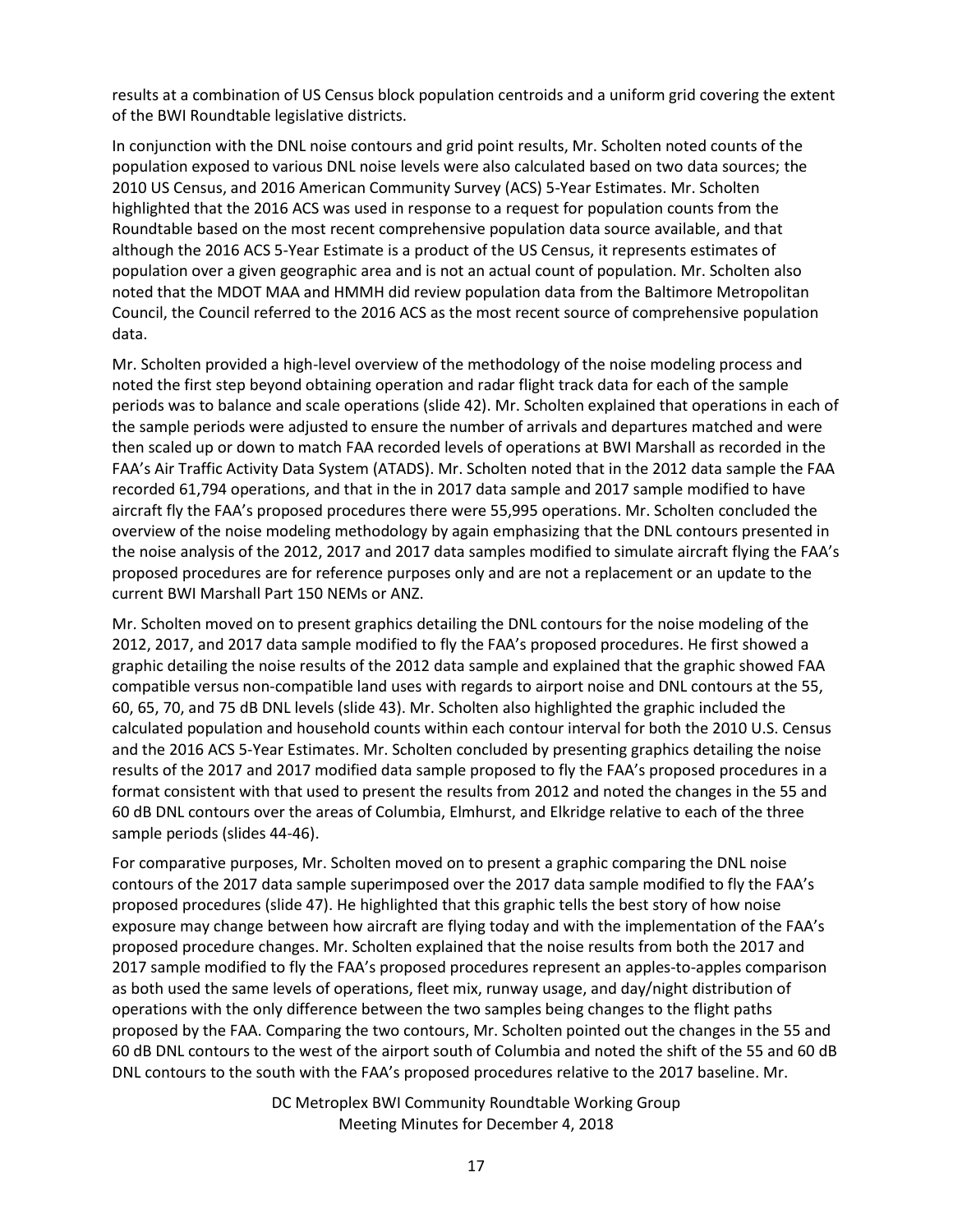results at a combination of US Census block population centroids and a uniform grid covering the extent of the BWI Roundtable legislative districts.

In conjunction with the DNL noise contours and grid point results, Mr. Scholten noted counts of the population exposed to various DNL noise levels were also calculated based on two data sources; the 2010 US Census, and 2016 American Community Survey (ACS) 5-Year Estimates. Mr. Scholten highlighted that the 2016 ACS was used in response to a request for population counts from the Roundtable based on the most recent comprehensive population data source available, and that although the 2016 ACS 5-Year Estimate is a product of the US Census, it represents estimates of population over a given geographic area and is not an actual count of population. Mr. Scholten also noted that the MDOT MAA and HMMH did review population data from the Baltimore Metropolitan Council, the Council referred to the 2016 ACS as the most recent source of comprehensive population data.

Mr. Scholten provided a high-level overview of the methodology of the noise modeling process and noted the first step beyond obtaining operation and radar flight track data for each of the sample periods was to balance and scale operations (slide 42). Mr. Scholten explained that operations in each of the sample periods were adjusted to ensure the number of arrivals and departures matched and were then scaled up or down to match FAA recorded levels of operations at BWI Marshall as recorded in the FAA's Air Traffic Activity Data System (ATADS). Mr. Scholten noted that in the 2012 data sample the FAA recorded 61,794 operations, and that in the in 2017 data sample and 2017 sample modified to have aircraft fly the FAA's proposed procedures there were 55,995 operations. Mr. Scholten concluded the overview of the noise modeling methodology by again emphasizing that the DNL contours presented in the noise analysis of the 2012, 2017 and 2017 data samples modified to simulate aircraft flying the FAA's proposed procedures are for reference purposes only and are not a replacement or an update to the current BWI Marshall Part 150 NEMs or ANZ.

Mr. Scholten moved on to present graphics detailing the DNL contours for the noise modeling of the 2012, 2017, and 2017 data sample modified to fly the FAA's proposed procedures. He first showed a graphic detailing the noise results of the 2012 data sample and explained that the graphic showed FAA compatible versus non-compatible land uses with regards to airport noise and DNL contours at the 55, 60, 65, 70, and 75 dB DNL levels (slide 43). Mr. Scholten also highlighted the graphic included the calculated population and household counts within each contour interval for both the 2010 U.S. Census and the 2016 ACS 5-Year Estimates. Mr. Scholten concluded by presenting graphics detailing the noise results of the 2017 and 2017 modified data sample proposed to fly the FAA's proposed procedures in a format consistent with that used to present the results from 2012 and noted the changes in the 55 and 60 dB DNL contours over the areas of Columbia, Elmhurst, and Elkridge relative to each of the three sample periods (slides 44-46).

For comparative purposes, Mr. Scholten moved on to present a graphic comparing the DNL noise contours of the 2017 data sample superimposed over the 2017 data sample modified to fly the FAA's proposed procedures (slide 47). He highlighted that this graphic tells the best story of how noise exposure may change between how aircraft are flying today and with the implementation of the FAA's proposed procedure changes. Mr. Scholten explained that the noise results from both the 2017 and 2017 sample modified to fly the FAA's proposed procedures represent an apples-to-apples comparison as both used the same levels of operations, fleet mix, runway usage, and day/night distribution of operations with the only difference between the two samples being changes to the flight paths proposed by the FAA. Comparing the two contours, Mr. Scholten pointed out the changes in the 55 and 60 dB DNL contours to the west of the airport south of Columbia and noted the shift of the 55 and 60 dB DNL contours to the south with the FAA's proposed procedures relative to the 2017 baseline. Mr.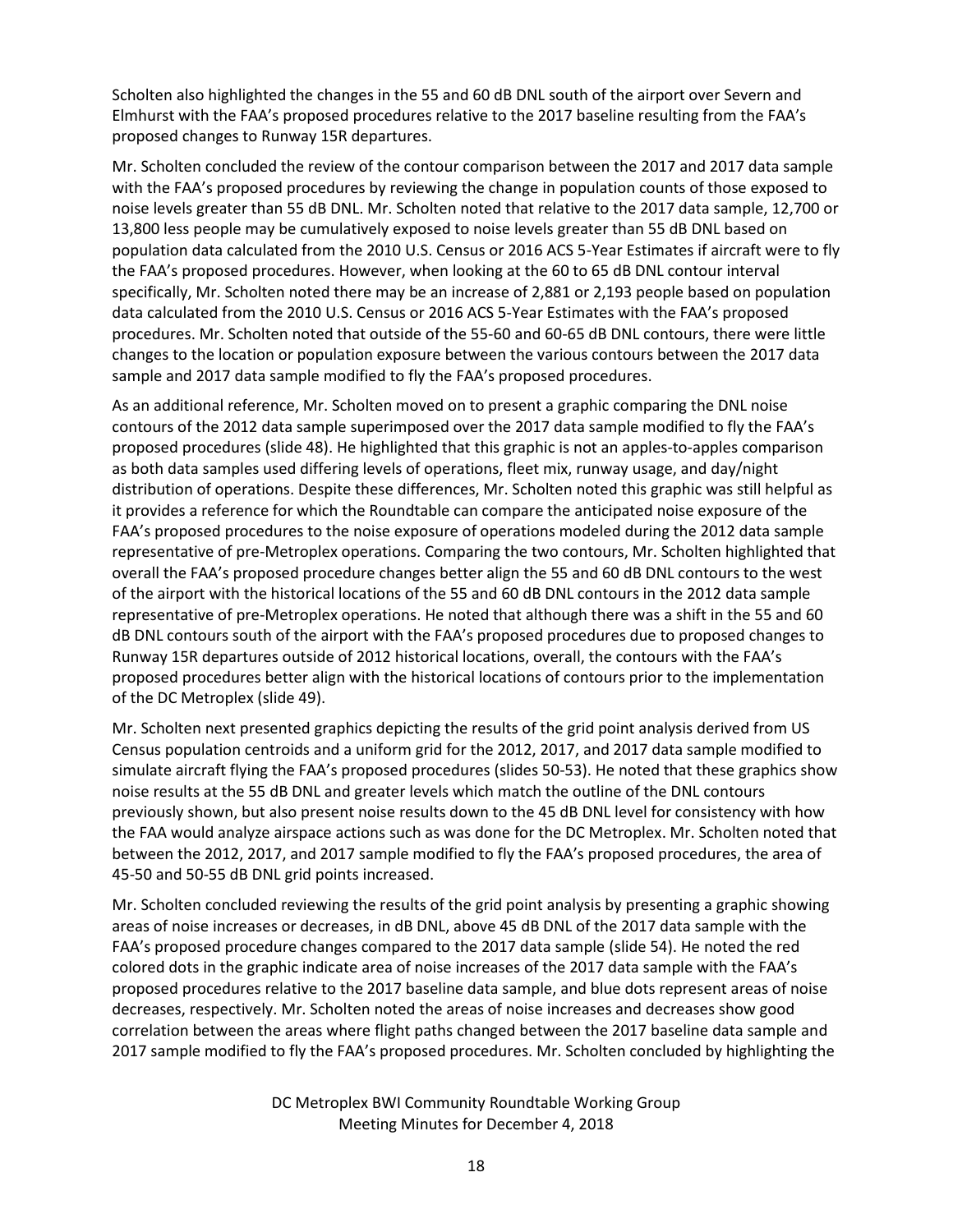Scholten also highlighted the changes in the 55 and 60 dB DNL south of the airport over Severn and Elmhurst with the FAA's proposed procedures relative to the 2017 baseline resulting from the FAA's proposed changes to Runway 15R departures.

Mr. Scholten concluded the review of the contour comparison between the 2017 and 2017 data sample with the FAA's proposed procedures by reviewing the change in population counts of those exposed to noise levels greater than 55 dB DNL. Mr. Scholten noted that relative to the 2017 data sample, 12,700 or 13,800 less people may be cumulatively exposed to noise levels greater than 55 dB DNL based on population data calculated from the 2010 U.S. Census or 2016 ACS 5-Year Estimates if aircraft were to fly the FAA's proposed procedures. However, when looking at the 60 to 65 dB DNL contour interval specifically, Mr. Scholten noted there may be an increase of 2,881 or 2,193 people based on population data calculated from the 2010 U.S. Census or 2016 ACS 5-Year Estimates with the FAA's proposed procedures. Mr. Scholten noted that outside of the 55-60 and 60-65 dB DNL contours, there were little changes to the location or population exposure between the various contours between the 2017 data sample and 2017 data sample modified to fly the FAA's proposed procedures.

As an additional reference, Mr. Scholten moved on to present a graphic comparing the DNL noise contours of the 2012 data sample superimposed over the 2017 data sample modified to fly the FAA's proposed procedures (slide 48). He highlighted that this graphic is not an apples-to-apples comparison as both data samples used differing levels of operations, fleet mix, runway usage, and day/night distribution of operations. Despite these differences, Mr. Scholten noted this graphic was still helpful as it provides a reference for which the Roundtable can compare the anticipated noise exposure of the FAA's proposed procedures to the noise exposure of operations modeled during the 2012 data sample representative of pre-Metroplex operations. Comparing the two contours, Mr. Scholten highlighted that overall the FAA's proposed procedure changes better align the 55 and 60 dB DNL contours to the west of the airport with the historical locations of the 55 and 60 dB DNL contours in the 2012 data sample representative of pre-Metroplex operations. He noted that although there was a shift in the 55 and 60 dB DNL contours south of the airport with the FAA's proposed procedures due to proposed changes to Runway 15R departures outside of 2012 historical locations, overall, the contours with the FAA's proposed procedures better align with the historical locations of contours prior to the implementation of the DC Metroplex (slide 49).

Mr. Scholten next presented graphics depicting the results of the grid point analysis derived from US Census population centroids and a uniform grid for the 2012, 2017, and 2017 data sample modified to simulate aircraft flying the FAA's proposed procedures (slides 50-53). He noted that these graphics show noise results at the 55 dB DNL and greater levels which match the outline of the DNL contours previously shown, but also present noise results down to the 45 dB DNL level for consistency with how the FAA would analyze airspace actions such as was done for the DC Metroplex. Mr. Scholten noted that between the 2012, 2017, and 2017 sample modified to fly the FAA's proposed procedures, the area of 45-50 and 50-55 dB DNL grid points increased.

Mr. Scholten concluded reviewing the results of the grid point analysis by presenting a graphic showing areas of noise increases or decreases, in dB DNL, above 45 dB DNL of the 2017 data sample with the FAA's proposed procedure changes compared to the 2017 data sample (slide 54). He noted the red colored dots in the graphic indicate area of noise increases of the 2017 data sample with the FAA's proposed procedures relative to the 2017 baseline data sample, and blue dots represent areas of noise decreases, respectively. Mr. Scholten noted the areas of noise increases and decreases show good correlation between the areas where flight paths changed between the 2017 baseline data sample and 2017 sample modified to fly the FAA's proposed procedures. Mr. Scholten concluded by highlighting the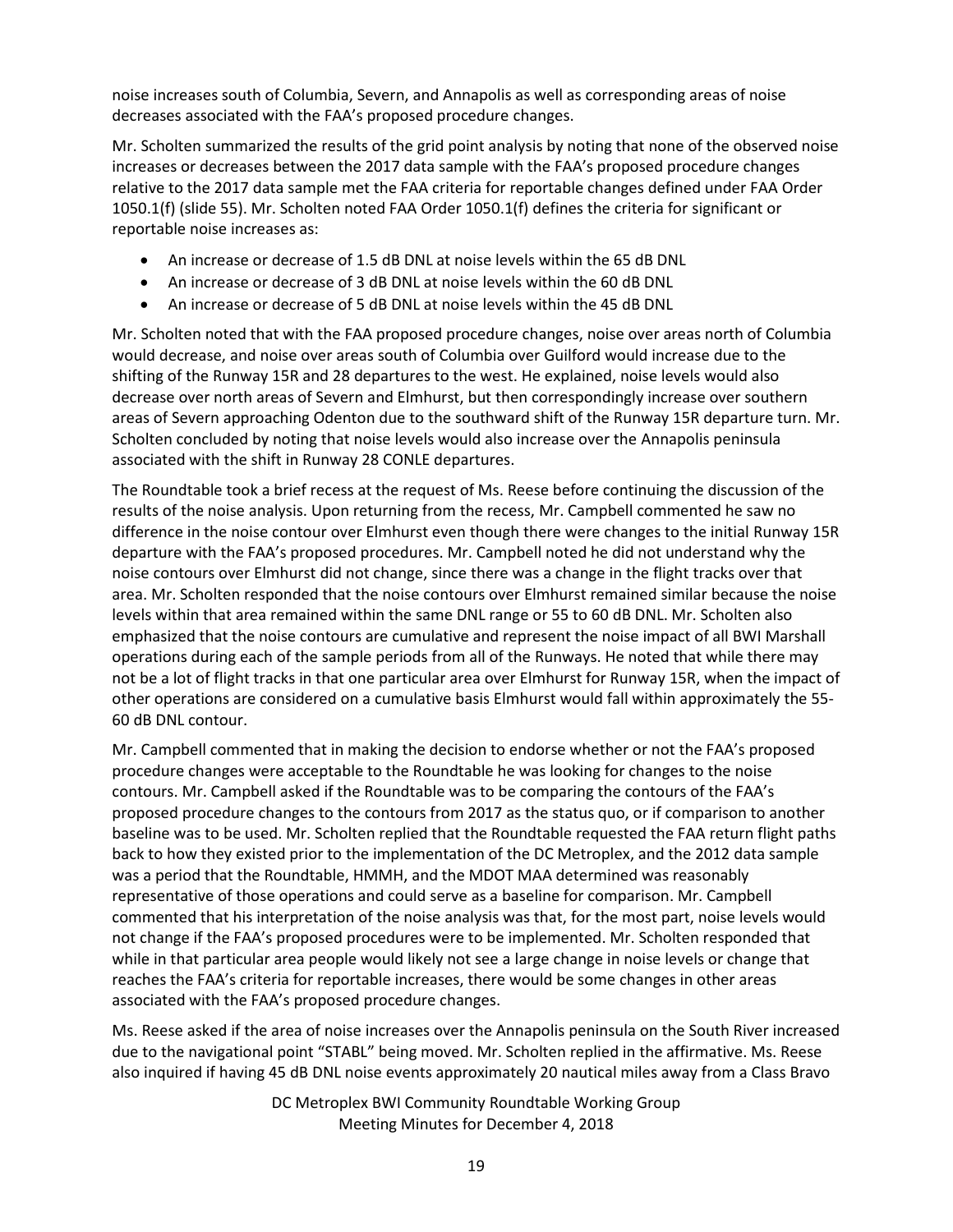noise increases south of Columbia, Severn, and Annapolis as well as corresponding areas of noise decreases associated with the FAA's proposed procedure changes.

Mr. Scholten summarized the results of the grid point analysis by noting that none of the observed noise increases or decreases between the 2017 data sample with the FAA's proposed procedure changes relative to the 2017 data sample met the FAA criteria for reportable changes defined under FAA Order 1050.1(f) (slide 55). Mr. Scholten noted FAA Order 1050.1(f) defines the criteria for significant or reportable noise increases as:

- An increase or decrease of 1.5 dB DNL at noise levels within the 65 dB DNL
- An increase or decrease of 3 dB DNL at noise levels within the 60 dB DNL
- An increase or decrease of 5 dB DNL at noise levels within the 45 dB DNL

Mr. Scholten noted that with the FAA proposed procedure changes, noise over areas north of Columbia would decrease, and noise over areas south of Columbia over Guilford would increase due to the shifting of the Runway 15R and 28 departures to the west. He explained, noise levels would also decrease over north areas of Severn and Elmhurst, but then correspondingly increase over southern areas of Severn approaching Odenton due to the southward shift of the Runway 15R departure turn. Mr. Scholten concluded by noting that noise levels would also increase over the Annapolis peninsula associated with the shift in Runway 28 CONLE departures.

The Roundtable took a brief recess at the request of Ms. Reese before continuing the discussion of the results of the noise analysis. Upon returning from the recess, Mr. Campbell commented he saw no difference in the noise contour over Elmhurst even though there were changes to the initial Runway 15R departure with the FAA's proposed procedures. Mr. Campbell noted he did not understand why the noise contours over Elmhurst did not change, since there was a change in the flight tracks over that area. Mr. Scholten responded that the noise contours over Elmhurst remained similar because the noise levels within that area remained within the same DNL range or 55 to 60 dB DNL. Mr. Scholten also emphasized that the noise contours are cumulative and represent the noise impact of all BWI Marshall operations during each of the sample periods from all of the Runways. He noted that while there may not be a lot of flight tracks in that one particular area over Elmhurst for Runway 15R, when the impact of other operations are considered on a cumulative basis Elmhurst would fall within approximately the 55- 60 dB DNL contour.

Mr. Campbell commented that in making the decision to endorse whether or not the FAA's proposed procedure changes were acceptable to the Roundtable he was looking for changes to the noise contours. Mr. Campbell asked if the Roundtable was to be comparing the contours of the FAA's proposed procedure changes to the contours from 2017 as the status quo, or if comparison to another baseline was to be used. Mr. Scholten replied that the Roundtable requested the FAA return flight paths back to how they existed prior to the implementation of the DC Metroplex, and the 2012 data sample was a period that the Roundtable, HMMH, and the MDOT MAA determined was reasonably representative of those operations and could serve as a baseline for comparison. Mr. Campbell commented that his interpretation of the noise analysis was that, for the most part, noise levels would not change if the FAA's proposed procedures were to be implemented. Mr. Scholten responded that while in that particular area people would likely not see a large change in noise levels or change that reaches the FAA's criteria for reportable increases, there would be some changes in other areas associated with the FAA's proposed procedure changes.

Ms. Reese asked if the area of noise increases over the Annapolis peninsula on the South River increased due to the navigational point "STABL" being moved. Mr. Scholten replied in the affirmative. Ms. Reese also inquired if having 45 dB DNL noise events approximately 20 nautical miles away from a Class Bravo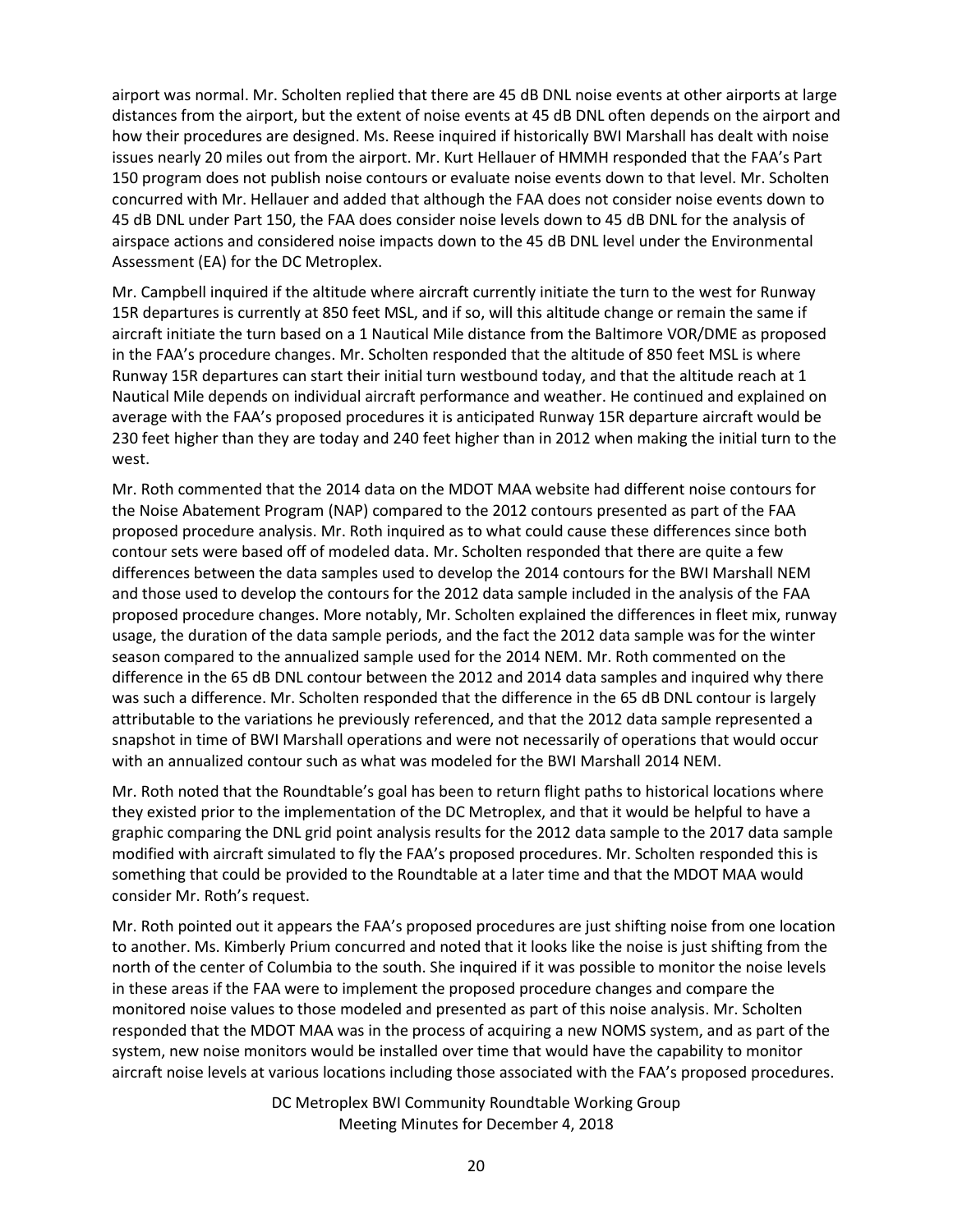airport was normal. Mr. Scholten replied that there are 45 dB DNL noise events at other airports at large distances from the airport, but the extent of noise events at 45 dB DNL often depends on the airport and how their procedures are designed. Ms. Reese inquired if historically BWI Marshall has dealt with noise issues nearly 20 miles out from the airport. Mr. Kurt Hellauer of HMMH responded that the FAA's Part 150 program does not publish noise contours or evaluate noise events down to that level. Mr. Scholten concurred with Mr. Hellauer and added that although the FAA does not consider noise events down to 45 dB DNL under Part 150, the FAA does consider noise levels down to 45 dB DNL for the analysis of airspace actions and considered noise impacts down to the 45 dB DNL level under the Environmental Assessment (EA) for the DC Metroplex.

Mr. Campbell inquired if the altitude where aircraft currently initiate the turn to the west for Runway 15R departures is currently at 850 feet MSL, and if so, will this altitude change or remain the same if aircraft initiate the turn based on a 1 Nautical Mile distance from the Baltimore VOR/DME as proposed in the FAA's procedure changes. Mr. Scholten responded that the altitude of 850 feet MSL is where Runway 15R departures can start their initial turn westbound today, and that the altitude reach at 1 Nautical Mile depends on individual aircraft performance and weather. He continued and explained on average with the FAA's proposed procedures it is anticipated Runway 15R departure aircraft would be 230 feet higher than they are today and 240 feet higher than in 2012 when making the initial turn to the west.

Mr. Roth commented that the 2014 data on the MDOT MAA website had different noise contours for the Noise Abatement Program (NAP) compared to the 2012 contours presented as part of the FAA proposed procedure analysis. Mr. Roth inquired as to what could cause these differences since both contour sets were based off of modeled data. Mr. Scholten responded that there are quite a few differences between the data samples used to develop the 2014 contours for the BWI Marshall NEM and those used to develop the contours for the 2012 data sample included in the analysis of the FAA proposed procedure changes. More notably, Mr. Scholten explained the differences in fleet mix, runway usage, the duration of the data sample periods, and the fact the 2012 data sample was for the winter season compared to the annualized sample used for the 2014 NEM. Mr. Roth commented on the difference in the 65 dB DNL contour between the 2012 and 2014 data samples and inquired why there was such a difference. Mr. Scholten responded that the difference in the 65 dB DNL contour is largely attributable to the variations he previously referenced, and that the 2012 data sample represented a snapshot in time of BWI Marshall operations and were not necessarily of operations that would occur with an annualized contour such as what was modeled for the BWI Marshall 2014 NEM.

Mr. Roth noted that the Roundtable's goal has been to return flight paths to historical locations where they existed prior to the implementation of the DC Metroplex, and that it would be helpful to have a graphic comparing the DNL grid point analysis results for the 2012 data sample to the 2017 data sample modified with aircraft simulated to fly the FAA's proposed procedures. Mr. Scholten responded this is something that could be provided to the Roundtable at a later time and that the MDOT MAA would consider Mr. Roth's request.

Mr. Roth pointed out it appears the FAA's proposed procedures are just shifting noise from one location to another. Ms. Kimberly Prium concurred and noted that it looks like the noise is just shifting from the north of the center of Columbia to the south. She inquired if it was possible to monitor the noise levels in these areas if the FAA were to implement the proposed procedure changes and compare the monitored noise values to those modeled and presented as part of this noise analysis. Mr. Scholten responded that the MDOT MAA was in the process of acquiring a new NOMS system, and as part of the system, new noise monitors would be installed over time that would have the capability to monitor aircraft noise levels at various locations including those associated with the FAA's proposed procedures.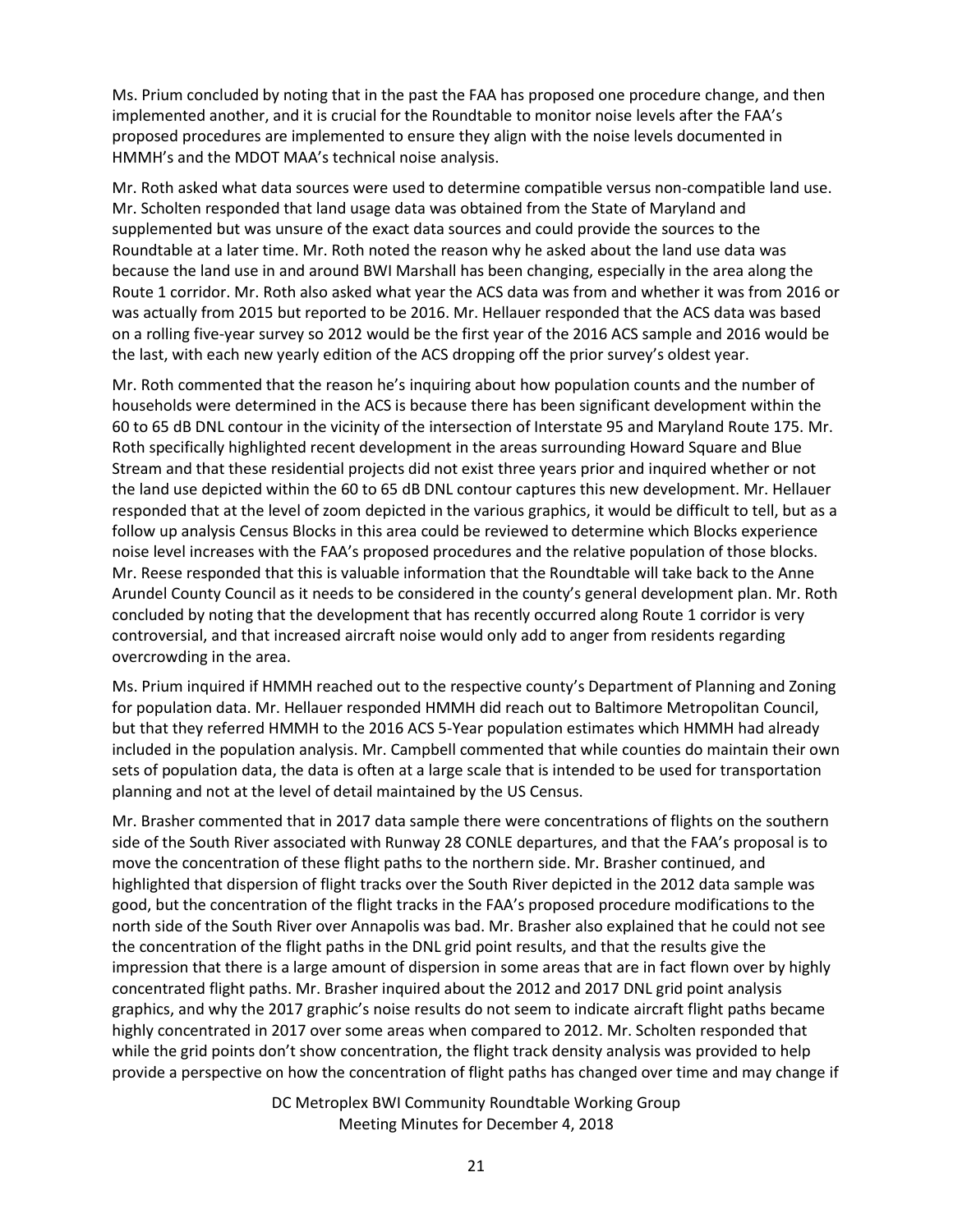Ms. Prium concluded by noting that in the past the FAA has proposed one procedure change, and then implemented another, and it is crucial for the Roundtable to monitor noise levels after the FAA's proposed procedures are implemented to ensure they align with the noise levels documented in HMMH's and the MDOT MAA's technical noise analysis.

Mr. Roth asked what data sources were used to determine compatible versus non-compatible land use. Mr. Scholten responded that land usage data was obtained from the State of Maryland and supplemented but was unsure of the exact data sources and could provide the sources to the Roundtable at a later time. Mr. Roth noted the reason why he asked about the land use data was because the land use in and around BWI Marshall has been changing, especially in the area along the Route 1 corridor. Mr. Roth also asked what year the ACS data was from and whether it was from 2016 or was actually from 2015 but reported to be 2016. Mr. Hellauer responded that the ACS data was based on a rolling five-year survey so 2012 would be the first year of the 2016 ACS sample and 2016 would be the last, with each new yearly edition of the ACS dropping off the prior survey's oldest year.

Mr. Roth commented that the reason he's inquiring about how population counts and the number of households were determined in the ACS is because there has been significant development within the 60 to 65 dB DNL contour in the vicinity of the intersection of Interstate 95 and Maryland Route 175. Mr. Roth specifically highlighted recent development in the areas surrounding Howard Square and Blue Stream and that these residential projects did not exist three years prior and inquired whether or not the land use depicted within the 60 to 65 dB DNL contour captures this new development. Mr. Hellauer responded that at the level of zoom depicted in the various graphics, it would be difficult to tell, but as a follow up analysis Census Blocks in this area could be reviewed to determine which Blocks experience noise level increases with the FAA's proposed procedures and the relative population of those blocks. Mr. Reese responded that this is valuable information that the Roundtable will take back to the Anne Arundel County Council as it needs to be considered in the county's general development plan. Mr. Roth concluded by noting that the development that has recently occurred along Route 1 corridor is very controversial, and that increased aircraft noise would only add to anger from residents regarding overcrowding in the area.

Ms. Prium inquired if HMMH reached out to the respective county's Department of Planning and Zoning for population data. Mr. Hellauer responded HMMH did reach out to Baltimore Metropolitan Council, but that they referred HMMH to the 2016 ACS 5-Year population estimates which HMMH had already included in the population analysis. Mr. Campbell commented that while counties do maintain their own sets of population data, the data is often at a large scale that is intended to be used for transportation planning and not at the level of detail maintained by the US Census.

Mr. Brasher commented that in 2017 data sample there were concentrations of flights on the southern side of the South River associated with Runway 28 CONLE departures, and that the FAA's proposal is to move the concentration of these flight paths to the northern side. Mr. Brasher continued, and highlighted that dispersion of flight tracks over the South River depicted in the 2012 data sample was good, but the concentration of the flight tracks in the FAA's proposed procedure modifications to the north side of the South River over Annapolis was bad. Mr. Brasher also explained that he could not see the concentration of the flight paths in the DNL grid point results, and that the results give the impression that there is a large amount of dispersion in some areas that are in fact flown over by highly concentrated flight paths. Mr. Brasher inquired about the 2012 and 2017 DNL grid point analysis graphics, and why the 2017 graphic's noise results do not seem to indicate aircraft flight paths became highly concentrated in 2017 over some areas when compared to 2012. Mr. Scholten responded that while the grid points don't show concentration, the flight track density analysis was provided to help provide a perspective on how the concentration of flight paths has changed over time and may change if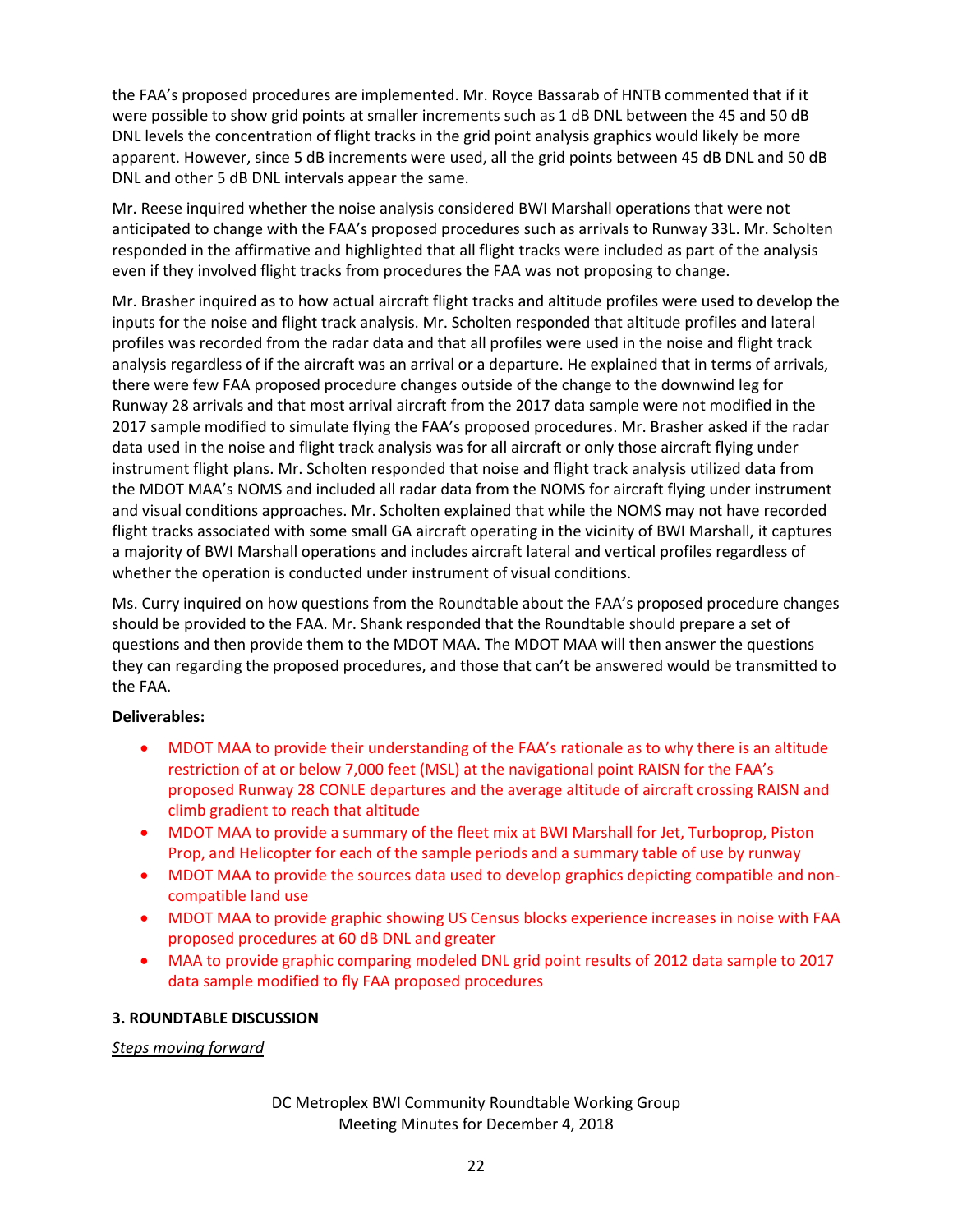the FAA's proposed procedures are implemented. Mr. Royce Bassarab of HNTB commented that if it were possible to show grid points at smaller increments such as 1 dB DNL between the 45 and 50 dB DNL levels the concentration of flight tracks in the grid point analysis graphics would likely be more apparent. However, since 5 dB increments were used, all the grid points between 45 dB DNL and 50 dB DNL and other 5 dB DNL intervals appear the same.

Mr. Reese inquired whether the noise analysis considered BWI Marshall operations that were not anticipated to change with the FAA's proposed procedures such as arrivals to Runway 33L. Mr. Scholten responded in the affirmative and highlighted that all flight tracks were included as part of the analysis even if they involved flight tracks from procedures the FAA was not proposing to change.

Mr. Brasher inquired as to how actual aircraft flight tracks and altitude profiles were used to develop the inputs for the noise and flight track analysis. Mr. Scholten responded that altitude profiles and lateral profiles was recorded from the radar data and that all profiles were used in the noise and flight track analysis regardless of if the aircraft was an arrival or a departure. He explained that in terms of arrivals, there were few FAA proposed procedure changes outside of the change to the downwind leg for Runway 28 arrivals and that most arrival aircraft from the 2017 data sample were not modified in the 2017 sample modified to simulate flying the FAA's proposed procedures. Mr. Brasher asked if the radar data used in the noise and flight track analysis was for all aircraft or only those aircraft flying under instrument flight plans. Mr. Scholten responded that noise and flight track analysis utilized data from the MDOT MAA's NOMS and included all radar data from the NOMS for aircraft flying under instrument and visual conditions approaches. Mr. Scholten explained that while the NOMS may not have recorded flight tracks associated with some small GA aircraft operating in the vicinity of BWI Marshall, it captures a majority of BWI Marshall operations and includes aircraft lateral and vertical profiles regardless of whether the operation is conducted under instrument of visual conditions.

Ms. Curry inquired on how questions from the Roundtable about the FAA's proposed procedure changes should be provided to the FAA. Mr. Shank responded that the Roundtable should prepare a set of questions and then provide them to the MDOT MAA. The MDOT MAA will then answer the questions they can regarding the proposed procedures, and those that can't be answered would be transmitted to the FAA.

### **Deliverables:**

- MDOT MAA to provide their understanding of the FAA's rationale as to why there is an altitude restriction of at or below 7,000 feet (MSL) at the navigational point RAISN for the FAA's proposed Runway 28 CONLE departures and the average altitude of aircraft crossing RAISN and climb gradient to reach that altitude
- MDOT MAA to provide a summary of the fleet mix at BWI Marshall for Jet, Turboprop, Piston Prop, and Helicopter for each of the sample periods and a summary table of use by runway
- MDOT MAA to provide the sources data used to develop graphics depicting compatible and noncompatible land use
- MDOT MAA to provide graphic showing US Census blocks experience increases in noise with FAA proposed procedures at 60 dB DNL and greater
- MAA to provide graphic comparing modeled DNL grid point results of 2012 data sample to 2017 data sample modified to fly FAA proposed procedures

# **3. ROUNDTABLE DISCUSSION**

# *Steps moving forward*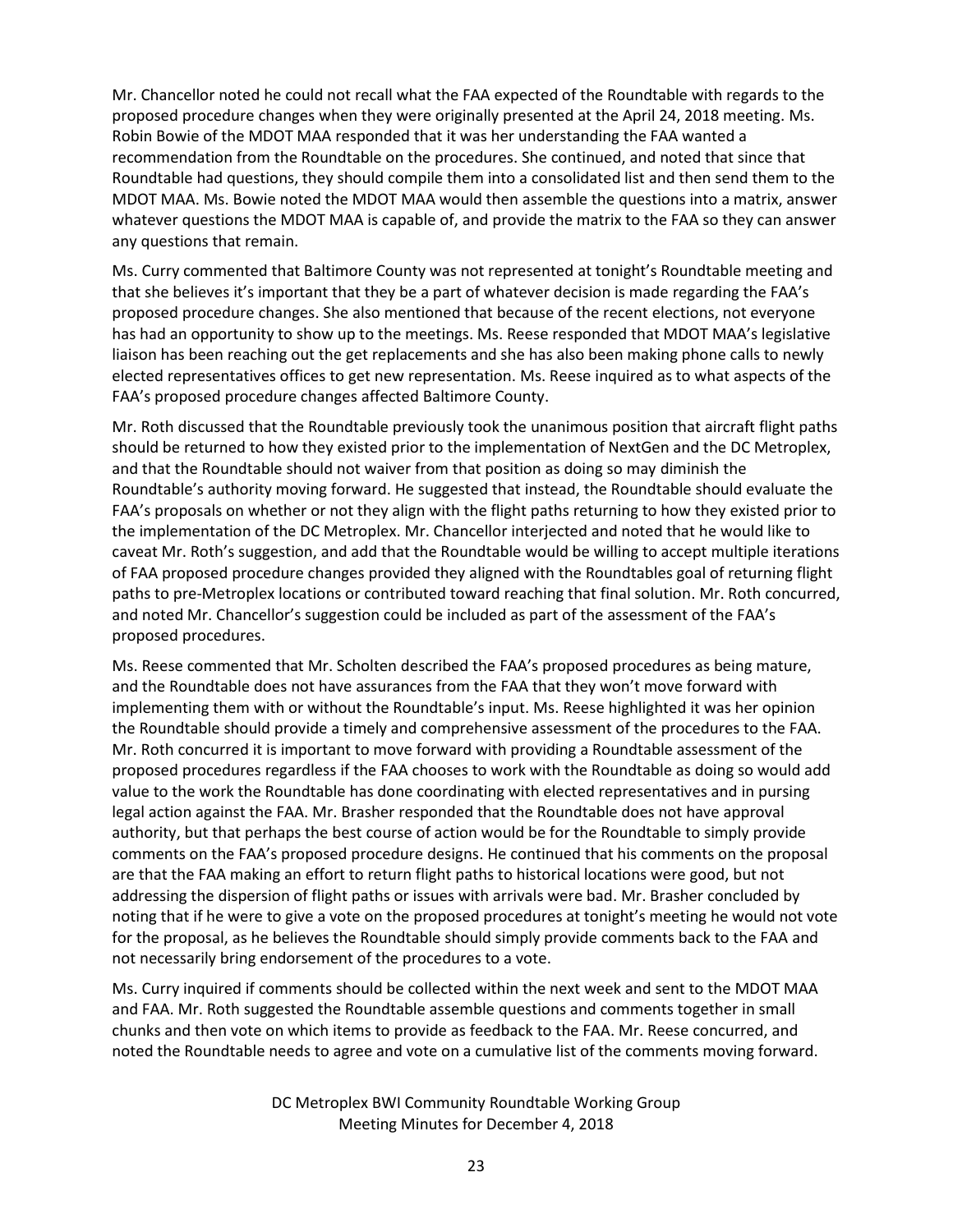Mr. Chancellor noted he could not recall what the FAA expected of the Roundtable with regards to the proposed procedure changes when they were originally presented at the April 24, 2018 meeting. Ms. Robin Bowie of the MDOT MAA responded that it was her understanding the FAA wanted a recommendation from the Roundtable on the procedures. She continued, and noted that since that Roundtable had questions, they should compile them into a consolidated list and then send them to the MDOT MAA. Ms. Bowie noted the MDOT MAA would then assemble the questions into a matrix, answer whatever questions the MDOT MAA is capable of, and provide the matrix to the FAA so they can answer any questions that remain.

Ms. Curry commented that Baltimore County was not represented at tonight's Roundtable meeting and that she believes it's important that they be a part of whatever decision is made regarding the FAA's proposed procedure changes. She also mentioned that because of the recent elections, not everyone has had an opportunity to show up to the meetings. Ms. Reese responded that MDOT MAA's legislative liaison has been reaching out the get replacements and she has also been making phone calls to newly elected representatives offices to get new representation. Ms. Reese inquired as to what aspects of the FAA's proposed procedure changes affected Baltimore County.

Mr. Roth discussed that the Roundtable previously took the unanimous position that aircraft flight paths should be returned to how they existed prior to the implementation of NextGen and the DC Metroplex, and that the Roundtable should not waiver from that position as doing so may diminish the Roundtable's authority moving forward. He suggested that instead, the Roundtable should evaluate the FAA's proposals on whether or not they align with the flight paths returning to how they existed prior to the implementation of the DC Metroplex. Mr. Chancellor interjected and noted that he would like to caveat Mr. Roth's suggestion, and add that the Roundtable would be willing to accept multiple iterations of FAA proposed procedure changes provided they aligned with the Roundtables goal of returning flight paths to pre-Metroplex locations or contributed toward reaching that final solution. Mr. Roth concurred, and noted Mr. Chancellor's suggestion could be included as part of the assessment of the FAA's proposed procedures.

Ms. Reese commented that Mr. Scholten described the FAA's proposed procedures as being mature, and the Roundtable does not have assurances from the FAA that they won't move forward with implementing them with or without the Roundtable's input. Ms. Reese highlighted it was her opinion the Roundtable should provide a timely and comprehensive assessment of the procedures to the FAA. Mr. Roth concurred it is important to move forward with providing a Roundtable assessment of the proposed procedures regardless if the FAA chooses to work with the Roundtable as doing so would add value to the work the Roundtable has done coordinating with elected representatives and in pursing legal action against the FAA. Mr. Brasher responded that the Roundtable does not have approval authority, but that perhaps the best course of action would be for the Roundtable to simply provide comments on the FAA's proposed procedure designs. He continued that his comments on the proposal are that the FAA making an effort to return flight paths to historical locations were good, but not addressing the dispersion of flight paths or issues with arrivals were bad. Mr. Brasher concluded by noting that if he were to give a vote on the proposed procedures at tonight's meeting he would not vote for the proposal, as he believes the Roundtable should simply provide comments back to the FAA and not necessarily bring endorsement of the procedures to a vote.

Ms. Curry inquired if comments should be collected within the next week and sent to the MDOT MAA and FAA. Mr. Roth suggested the Roundtable assemble questions and comments together in small chunks and then vote on which items to provide as feedback to the FAA. Mr. Reese concurred, and noted the Roundtable needs to agree and vote on a cumulative list of the comments moving forward.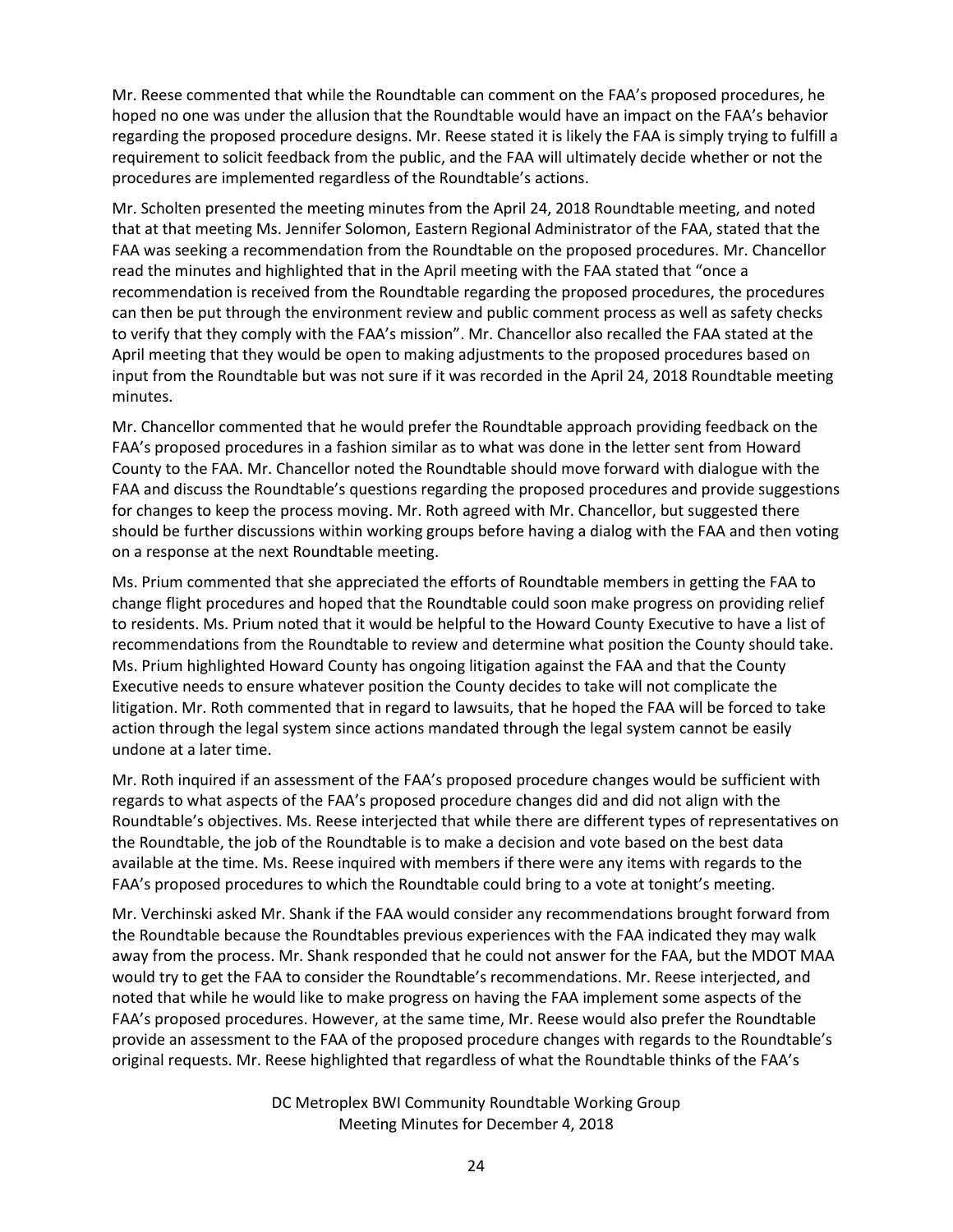Mr. Reese commented that while the Roundtable can comment on the FAA's proposed procedures, he hoped no one was under the allusion that the Roundtable would have an impact on the FAA's behavior regarding the proposed procedure designs. Mr. Reese stated it is likely the FAA is simply trying to fulfill a requirement to solicit feedback from the public, and the FAA will ultimately decide whether or not the procedures are implemented regardless of the Roundtable's actions.

Mr. Scholten presented the meeting minutes from the April 24, 2018 Roundtable meeting, and noted that at that meeting Ms. Jennifer Solomon, Eastern Regional Administrator of the FAA, stated that the FAA was seeking a recommendation from the Roundtable on the proposed procedures. Mr. Chancellor read the minutes and highlighted that in the April meeting with the FAA stated that "once a recommendation is received from the Roundtable regarding the proposed procedures, the procedures can then be put through the environment review and public comment process as well as safety checks to verify that they comply with the FAA's mission". Mr. Chancellor also recalled the FAA stated at the April meeting that they would be open to making adjustments to the proposed procedures based on input from the Roundtable but was not sure if it was recorded in the April 24, 2018 Roundtable meeting minutes.

Mr. Chancellor commented that he would prefer the Roundtable approach providing feedback on the FAA's proposed procedures in a fashion similar as to what was done in the letter sent from Howard County to the FAA. Mr. Chancellor noted the Roundtable should move forward with dialogue with the FAA and discuss the Roundtable's questions regarding the proposed procedures and provide suggestions for changes to keep the process moving. Mr. Roth agreed with Mr. Chancellor, but suggested there should be further discussions within working groups before having a dialog with the FAA and then voting on a response at the next Roundtable meeting.

Ms. Prium commented that she appreciated the efforts of Roundtable members in getting the FAA to change flight procedures and hoped that the Roundtable could soon make progress on providing relief to residents. Ms. Prium noted that it would be helpful to the Howard County Executive to have a list of recommendations from the Roundtable to review and determine what position the County should take. Ms. Prium highlighted Howard County has ongoing litigation against the FAA and that the County Executive needs to ensure whatever position the County decides to take will not complicate the litigation. Mr. Roth commented that in regard to lawsuits, that he hoped the FAA will be forced to take action through the legal system since actions mandated through the legal system cannot be easily undone at a later time.

Mr. Roth inquired if an assessment of the FAA's proposed procedure changes would be sufficient with regards to what aspects of the FAA's proposed procedure changes did and did not align with the Roundtable's objectives. Ms. Reese interjected that while there are different types of representatives on the Roundtable, the job of the Roundtable is to make a decision and vote based on the best data available at the time. Ms. Reese inquired with members if there were any items with regards to the FAA's proposed procedures to which the Roundtable could bring to a vote at tonight's meeting.

Mr. Verchinski asked Mr. Shank if the FAA would consider any recommendations brought forward from the Roundtable because the Roundtables previous experiences with the FAA indicated they may walk away from the process. Mr. Shank responded that he could not answer for the FAA, but the MDOT MAA would try to get the FAA to consider the Roundtable's recommendations. Mr. Reese interjected, and noted that while he would like to make progress on having the FAA implement some aspects of the FAA's proposed procedures. However, at the same time, Mr. Reese would also prefer the Roundtable provide an assessment to the FAA of the proposed procedure changes with regards to the Roundtable's original requests. Mr. Reese highlighted that regardless of what the Roundtable thinks of the FAA's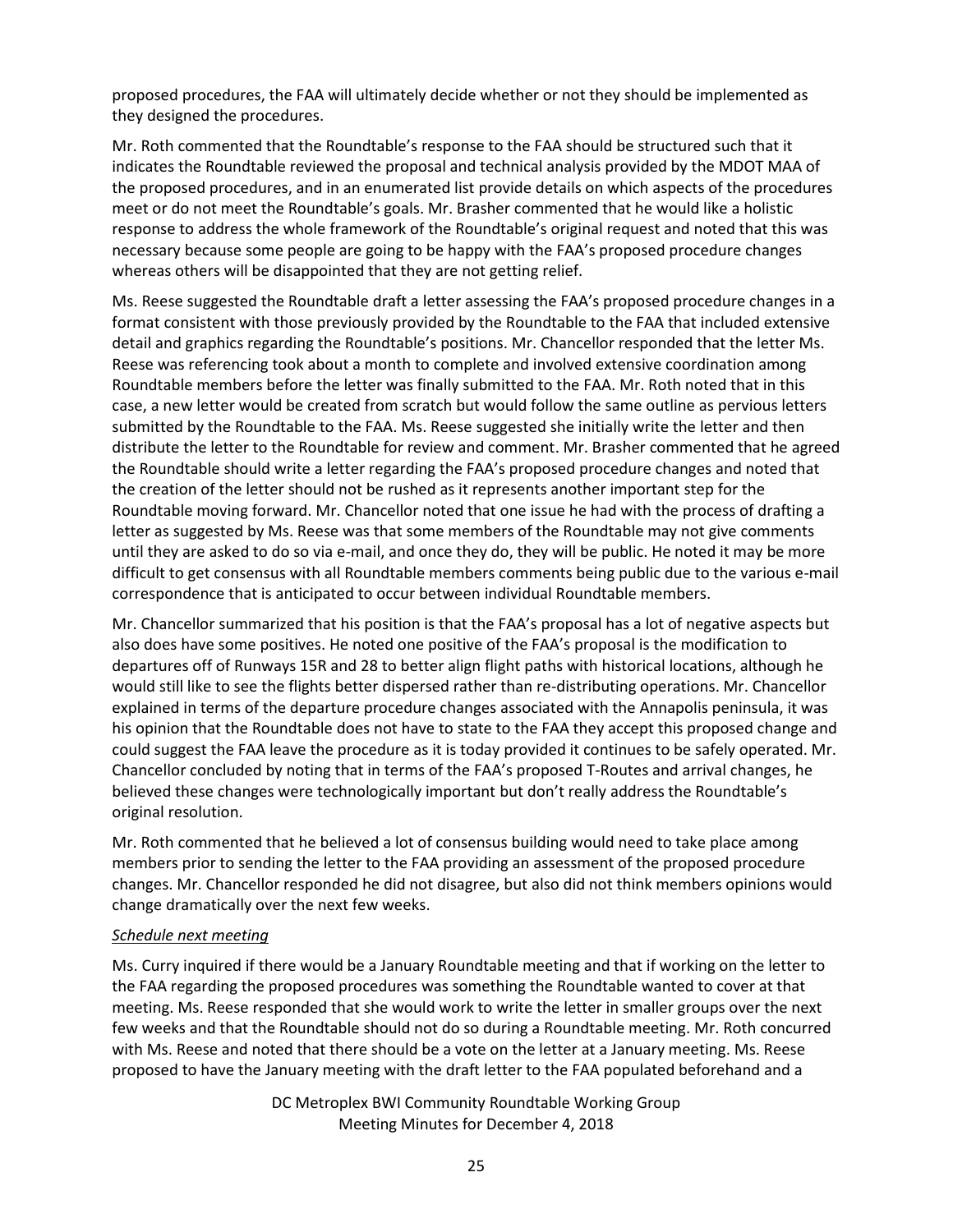proposed procedures, the FAA will ultimately decide whether or not they should be implemented as they designed the procedures.

Mr. Roth commented that the Roundtable's response to the FAA should be structured such that it indicates the Roundtable reviewed the proposal and technical analysis provided by the MDOT MAA of the proposed procedures, and in an enumerated list provide details on which aspects of the procedures meet or do not meet the Roundtable's goals. Mr. Brasher commented that he would like a holistic response to address the whole framework of the Roundtable's original request and noted that this was necessary because some people are going to be happy with the FAA's proposed procedure changes whereas others will be disappointed that they are not getting relief.

Ms. Reese suggested the Roundtable draft a letter assessing the FAA's proposed procedure changes in a format consistent with those previously provided by the Roundtable to the FAA that included extensive detail and graphics regarding the Roundtable's positions. Mr. Chancellor responded that the letter Ms. Reese was referencing took about a month to complete and involved extensive coordination among Roundtable members before the letter was finally submitted to the FAA. Mr. Roth noted that in this case, a new letter would be created from scratch but would follow the same outline as pervious letters submitted by the Roundtable to the FAA. Ms. Reese suggested she initially write the letter and then distribute the letter to the Roundtable for review and comment. Mr. Brasher commented that he agreed the Roundtable should write a letter regarding the FAA's proposed procedure changes and noted that the creation of the letter should not be rushed as it represents another important step for the Roundtable moving forward. Mr. Chancellor noted that one issue he had with the process of drafting a letter as suggested by Ms. Reese was that some members of the Roundtable may not give comments until they are asked to do so via e-mail, and once they do, they will be public. He noted it may be more difficult to get consensus with all Roundtable members comments being public due to the various e-mail correspondence that is anticipated to occur between individual Roundtable members.

Mr. Chancellor summarized that his position is that the FAA's proposal has a lot of negative aspects but also does have some positives. He noted one positive of the FAA's proposal is the modification to departures off of Runways 15R and 28 to better align flight paths with historical locations, although he would still like to see the flights better dispersed rather than re-distributing operations. Mr. Chancellor explained in terms of the departure procedure changes associated with the Annapolis peninsula, it was his opinion that the Roundtable does not have to state to the FAA they accept this proposed change and could suggest the FAA leave the procedure as it is today provided it continues to be safely operated. Mr. Chancellor concluded by noting that in terms of the FAA's proposed T-Routes and arrival changes, he believed these changes were technologically important but don't really address the Roundtable's original resolution.

Mr. Roth commented that he believed a lot of consensus building would need to take place among members prior to sending the letter to the FAA providing an assessment of the proposed procedure changes. Mr. Chancellor responded he did not disagree, but also did not think members opinions would change dramatically over the next few weeks.

### *Schedule next meeting*

Ms. Curry inquired if there would be a January Roundtable meeting and that if working on the letter to the FAA regarding the proposed procedures was something the Roundtable wanted to cover at that meeting. Ms. Reese responded that she would work to write the letter in smaller groups over the next few weeks and that the Roundtable should not do so during a Roundtable meeting. Mr. Roth concurred with Ms. Reese and noted that there should be a vote on the letter at a January meeting. Ms. Reese proposed to have the January meeting with the draft letter to the FAA populated beforehand and a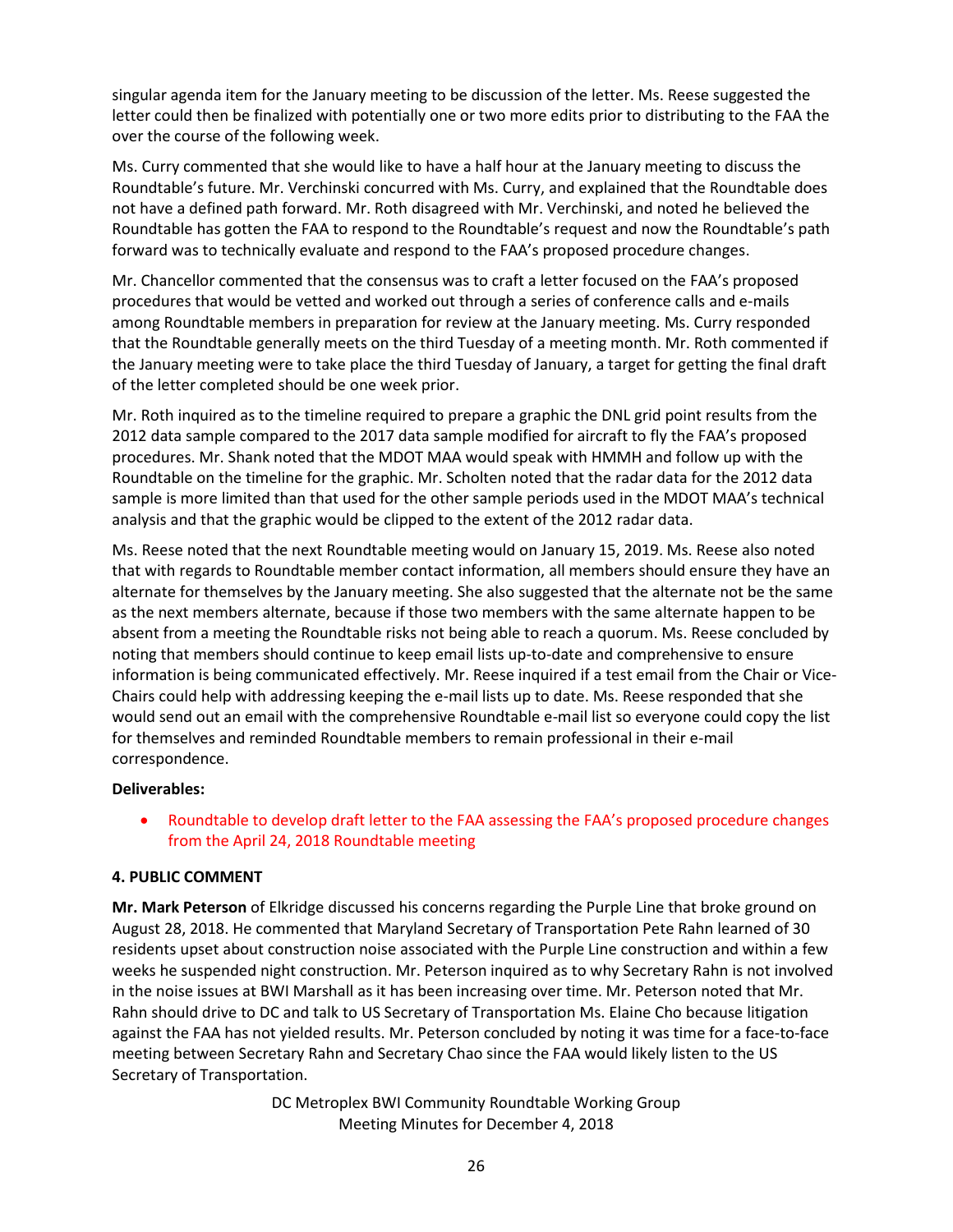singular agenda item for the January meeting to be discussion of the letter. Ms. Reese suggested the letter could then be finalized with potentially one or two more edits prior to distributing to the FAA the over the course of the following week.

Ms. Curry commented that she would like to have a half hour at the January meeting to discuss the Roundtable's future. Mr. Verchinski concurred with Ms. Curry, and explained that the Roundtable does not have a defined path forward. Mr. Roth disagreed with Mr. Verchinski, and noted he believed the Roundtable has gotten the FAA to respond to the Roundtable's request and now the Roundtable's path forward was to technically evaluate and respond to the FAA's proposed procedure changes.

Mr. Chancellor commented that the consensus was to craft a letter focused on the FAA's proposed procedures that would be vetted and worked out through a series of conference calls and e-mails among Roundtable members in preparation for review at the January meeting. Ms. Curry responded that the Roundtable generally meets on the third Tuesday of a meeting month. Mr. Roth commented if the January meeting were to take place the third Tuesday of January, a target for getting the final draft of the letter completed should be one week prior.

Mr. Roth inquired as to the timeline required to prepare a graphic the DNL grid point results from the 2012 data sample compared to the 2017 data sample modified for aircraft to fly the FAA's proposed procedures. Mr. Shank noted that the MDOT MAA would speak with HMMH and follow up with the Roundtable on the timeline for the graphic. Mr. Scholten noted that the radar data for the 2012 data sample is more limited than that used for the other sample periods used in the MDOT MAA's technical analysis and that the graphic would be clipped to the extent of the 2012 radar data.

Ms. Reese noted that the next Roundtable meeting would on January 15, 2019. Ms. Reese also noted that with regards to Roundtable member contact information, all members should ensure they have an alternate for themselves by the January meeting. She also suggested that the alternate not be the same as the next members alternate, because if those two members with the same alternate happen to be absent from a meeting the Roundtable risks not being able to reach a quorum. Ms. Reese concluded by noting that members should continue to keep email lists up-to-date and comprehensive to ensure information is being communicated effectively. Mr. Reese inquired if a test email from the Chair or Vice-Chairs could help with addressing keeping the e-mail lists up to date. Ms. Reese responded that she would send out an email with the comprehensive Roundtable e-mail list so everyone could copy the list for themselves and reminded Roundtable members to remain professional in their e-mail correspondence.

### **Deliverables:**

 Roundtable to develop draft letter to the FAA assessing the FAA's proposed procedure changes from the April 24, 2018 Roundtable meeting

### **4. PUBLIC COMMENT**

**Mr. Mark Peterson** of Elkridge discussed his concerns regarding the Purple Line that broke ground on August 28, 2018. He commented that Maryland Secretary of Transportation Pete Rahn learned of 30 residents upset about construction noise associated with the Purple Line construction and within a few weeks he suspended night construction. Mr. Peterson inquired as to why Secretary Rahn is not involved in the noise issues at BWI Marshall as it has been increasing over time. Mr. Peterson noted that Mr. Rahn should drive to DC and talk to US Secretary of Transportation Ms. Elaine Cho because litigation against the FAA has not yielded results. Mr. Peterson concluded by noting it was time for a face-to-face meeting between Secretary Rahn and Secretary Chao since the FAA would likely listen to the US Secretary of Transportation.